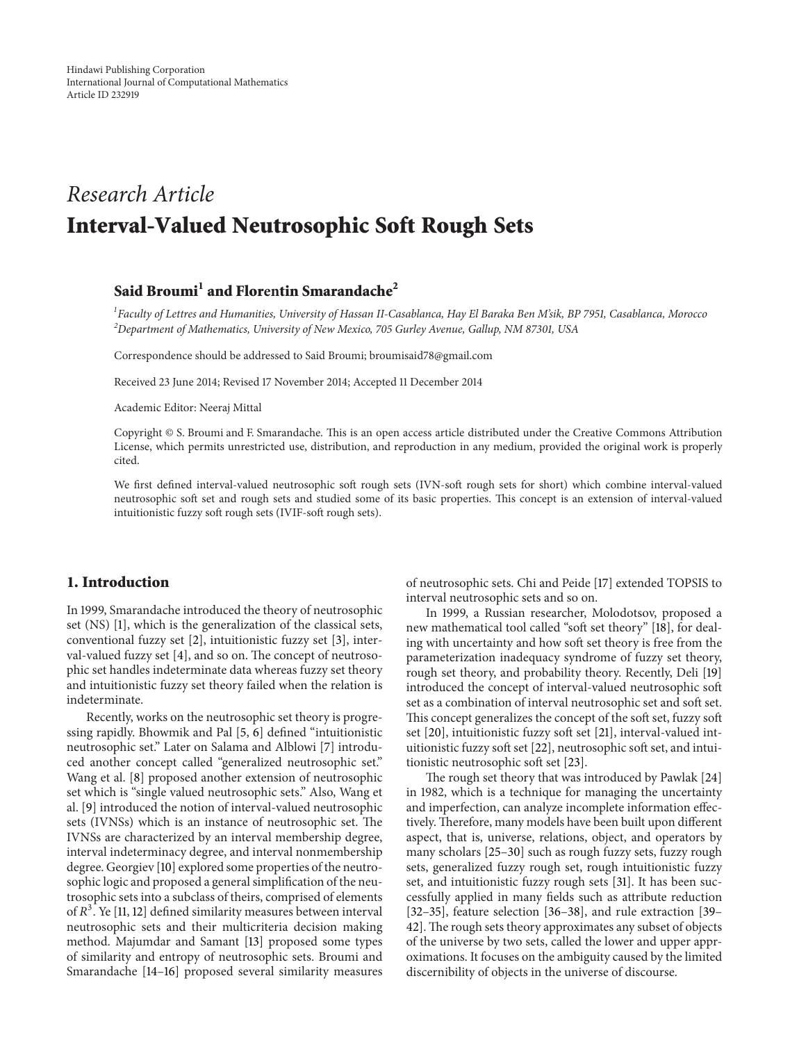# *Research Article* **Interval-Valued Neutrosophic Soft Rough Sets**

# **Said Broumi<sup>1</sup> and Florentin Smarandache<sup>2</sup>**

 $^{\rm l}$ Faculty of Lettres and Humanities, University of Hassan II-Casablanca, Hay El Baraka Ben M'sik, BP 7951, Casablanca, Morocco *<sup>2</sup>Department of Mathematics, University of New Mexico, 705 Gurley Avenue, Gallup, NM 87301, USA*

Correspondence should be addressed to Said Broumi; broumisaid78@gmail.com

Received 23 June 2014; Revised 17 November 2014; Accepted 11 December 2014

Academic Editor: Neeraj Mittal

Copyright © S. Broumi and F. Smarandache. This is an open access article distributed under the Creative Commons Attribution License, which permits unrestricted use, distribution, and reproduction in any medium, provided the original work is properly cited.

We first defined interval-valued neutrosophic soft rough sets (IVN-soft rough sets for short) which combine interval-valued neutrosophic soft set and rough sets and studied some of its basic properties. This concept is an extension of interval-valued intuitionistic fuzzy soft rough sets (IVIF-soft rough sets).

#### **1. Introduction**

In 1999, Smarandache introduced the theory of neutrosophic set (NS) [\[1](#page-11-0)], which is the generalization of the classical sets, conventional fuzzy set [\[2](#page-11-1)], intuitionistic fuzzy set [\[3\]](#page-11-2), interval-valued fuzzy set [\[4\]](#page-11-3), and so on. The concept of neutrosophic set handles indeterminate data whereas fuzzy set theory and intuitionistic fuzzy set theory failed when the relation is indeterminate.

Recently, works on the neutrosophic set theory is progressing rapidly. Bhowmik and Pal [\[5](#page-11-4), [6](#page-11-5)] defined "intuitionistic neutrosophic set." Later on Salama and Alblowi [\[7\]](#page-11-6) introduced another concept called "generalized neutrosophic set." Wang et al. [\[8](#page-11-7)] proposed another extension of neutrosophic set which is "single valued neutrosophic sets." Also, Wang et al. [\[9](#page-11-8)] introduced the notion of interval-valued neutrosophic sets (IVNSs) which is an instance of neutrosophic set. The IVNSs are characterized by an interval membership degree, interval indeterminacy degree, and interval nonmembership degree. Georgiev [\[10](#page-11-9)] explored some properties of the neutrosophic logic and proposed a general simplification of the neutrosophic sets into a subclass of theirs, comprised of elements of  $R^3$ . Ye [\[11](#page-11-10), [12\]](#page-11-11) defined similarity measures between interval neutrosophic sets and their multicriteria decision making method. Majumdar and Samant [\[13\]](#page-11-12) proposed some types of similarity and entropy of neutrosophic sets. Broumi and Smarandache [\[14](#page-11-13)[–16\]](#page-11-14) proposed several similarity measures of neutrosophic sets. Chi and Peide [\[17](#page-11-15)] extended TOPSIS to interval neutrosophic sets and so on.

In 1999, a Russian researcher, Molodotsov, proposed a new mathematical tool called "soft set theory" [\[18](#page-11-16)], for dealing with uncertainty and how soft set theory is free from the parameterization inadequacy syndrome of fuzzy set theory, rough set theory, and probability theory. Recently, Deli [\[19](#page-11-17)] introduced the concept of interval-valued neutrosophic soft set as a combination of interval neutrosophic set and soft set. This concept generalizes the concept of the soft set, fuzzy soft set [\[20](#page-11-18)], intuitionistic fuzzy soft set [\[21\]](#page-11-19), interval-valued intuitionistic fuzzy soft set [\[22\]](#page-11-20), neutrosophic soft set, and intuitionistic neutrosophic soft set [\[23\]](#page-11-21).

The rough set theory that was introduced by Pawlak [\[24](#page-11-22)] in 1982, which is a technique for managing the uncertainty and imperfection, can analyze incomplete information effectively. Therefore, many models have been built upon different aspect, that is, universe, relations, object, and operators by many scholars [\[25](#page-11-23)[–30](#page-11-24)] such as rough fuzzy sets, fuzzy rough sets, generalized fuzzy rough set, rough intuitionistic fuzzy set, and intuitionistic fuzzy rough sets [\[31](#page-11-25)]. It has been successfully applied in many fields such as attribute reduction [\[32](#page-11-26)[–35](#page-11-27)], feature selection [\[36](#page-11-28)[–38\]](#page-12-0), and rule extraction [\[39–](#page-12-1) [42](#page-12-2)]. The rough sets theory approximates any subset of objects of the universe by two sets, called the lower and upper approximations. It focuses on the ambiguity caused by the limited discernibility of objects in the universe of discourse.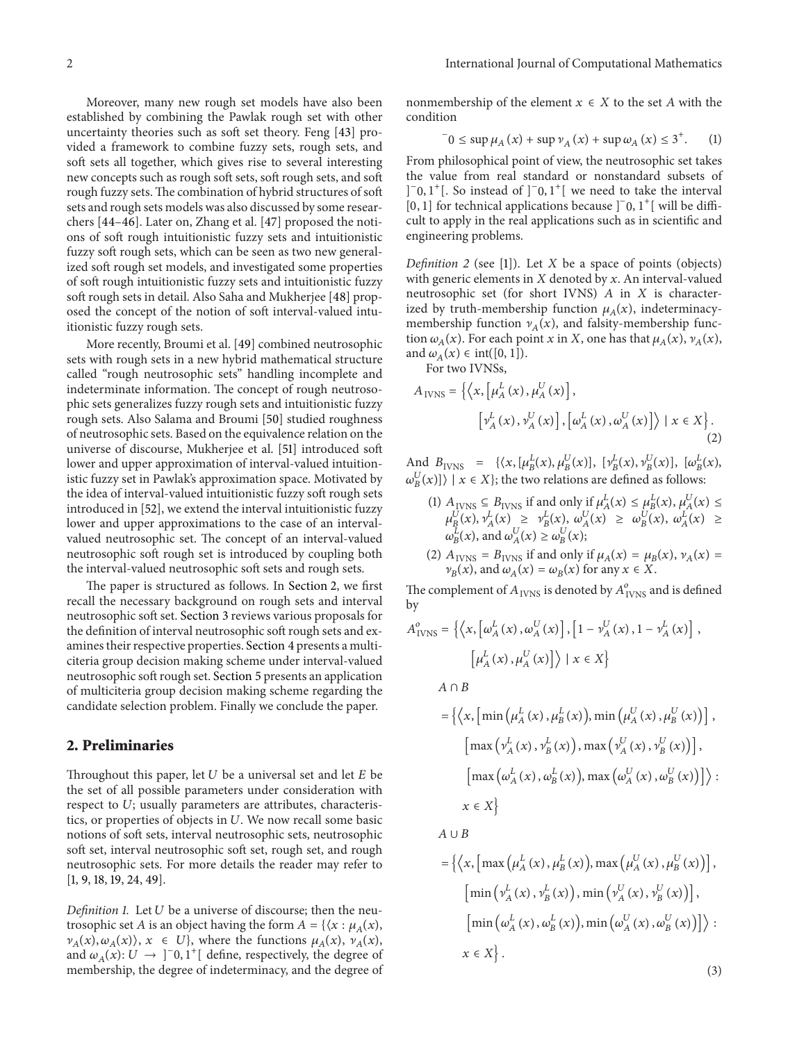Moreover, many new rough set models have also been established by combining the Pawlak rough set with other uncertainty theories such as soft set theory. Feng [\[43\]](#page-12-3) provided a framework to combine fuzzy sets, rough sets, and soft sets all together, which gives rise to several interesting new concepts such as rough soft sets, soft rough sets, and soft rough fuzzy sets. The combination of hybrid structures of soft sets and rough sets models was also discussed by some researchers [\[44](#page-12-4)[–46\]](#page-12-5). Later on, Zhang et al. [\[47\]](#page-12-6) proposed the notions of soft rough intuitionistic fuzzy sets and intuitionistic fuzzy soft rough sets, which can be seen as two new generalized soft rough set models, and investigated some properties of soft rough intuitionistic fuzzy sets and intuitionistic fuzzy soft rough sets in detail. Also Saha and Mukherjee [\[48\]](#page-12-7) proposed the concept of the notion of soft interval-valued intuitionistic fuzzy rough sets.

More recently, Broumi et al. [\[49\]](#page-12-8) combined neutrosophic sets with rough sets in a new hybrid mathematical structure called "rough neutrosophic sets" handling incomplete and indeterminate information. The concept of rough neutrosophic sets generalizes fuzzy rough sets and intuitionistic fuzzy rough sets. Also Salama and Broumi [\[50\]](#page-12-9) studied roughness of neutrosophic sets. Based on the equivalence relation on the universe of discourse, Mukherjee et al. [\[51](#page-12-10)] introduced soft lower and upper approximation of interval-valued intuitionistic fuzzy set in Pawlak's approximation space. Motivated by the idea of interval-valued intuitionistic fuzzy soft rough sets introduced in [\[52](#page-12-11)], we extend the interval intuitionistic fuzzy lower and upper approximations to the case of an intervalvalued neutrosophic set. The concept of an interval-valued neutrosophic soft rough set is introduced by coupling both the interval-valued neutrosophic soft sets and rough sets.

The paper is structured as follows. In [Section 2,](#page-1-0) we first recall the necessary background on rough sets and interval neutrosophic soft set. [Section 3](#page-3-0) reviews various proposals for the definition of interval neutrosophic soft rough sets and examines their respective properties. [Section 4](#page-8-0) presents a multiciteria group decision making scheme under interval-valued neutrosophic soft rough set. [Section 5](#page-9-0) presents an application of multiciteria group decision making scheme regarding the candidate selection problem. Finally we conclude the paper.

## <span id="page-1-0"></span>**2. Preliminaries**

Throughout this paper, let  $U$  be a universal set and let  $E$  be the set of all possible parameters under consideration with respect to  $U$ ; usually parameters are attributes, characteristics, or properties of objects in  $U$ . We now recall some basic notions of soft sets, interval neutrosophic sets, neutrosophic soft set, interval neutrosophic soft set, rough set, and rough neutrosophic sets. For more details the reader may refer to [\[1](#page-11-0), [9,](#page-11-8) [18](#page-11-16), [19](#page-11-17), [24,](#page-11-22) [49](#page-12-8)].

*Definition 1.* Let  $U$  be a universe of discourse; then the neutrosophic set *A* is an object having the form  $A = \{ \langle x : \mu_A(x), \eta_A(x) \rangle \}$  $\nu_A(x), \omega_A(x)$ ,  $x \in U$ , where the functions  $\mu_A(x), \nu_A(x)$ , and  $\omega_A(x)$ :  $U \rightarrow ]^-0, 1^+[$  define, respectively, the degree of membership, the degree of indeterminacy, and the degree of nonmembership of the element  $x \in X$  to the set A with the condition

$$
0 \le \sup \mu_A(x) + \sup \nu_A(x) + \sup \omega_A(x) \le 3^+.
$$
 (1)

From philosophical point of view, the neutrosophic set takes the value from real standard or nonstandard subsets of  $]$ <sup>-</sup>0, 1<sup>+</sup>[. So instead of ]<sup>-</sup>0, 1<sup>+</sup>[ we need to take the interval [0, 1] for technical applications because  $]$ <sup>-</sup>0, 1<sup>+</sup>[ will be difficult to apply in the real applications such as in scientific and engineering problems.

*Definition 2* (see [\[1](#page-11-0)]). Let  $X$  be a space of points (objects) with generic elements in  $X$  denoted by  $x$ . An interval-valued neutrosophic set (for short IVNS)  $A$  in  $X$  is characterized by truth-membership function  $\mu_A(x)$ , indeterminacymembership function  $v_A(x)$ , and falsity-membership function  $\omega_A(x)$ . For each point x in X, one has that  $\mu_A(x)$ ,  $\nu_A(x)$ , and  $\omega_A(x) \in \text{int}([0, 1]).$ 

For two IVNSs,

$$
A_{\text{IVNS}} = \left\{ \left\langle x, \left[ \mu_A^L(x), \mu_A^U(x) \right], \right. \right. \\ \left. \left[ \nu_A^L(x), \nu_A^U(x) \right], \left[ \omega_A^L(x), \omega_A^U(x) \right] \right\rangle \mid x \in X \right\}. \tag{2}
$$

And  $B_{IVNS} = {\langle x, [\mu_B^L(x), \mu_B^U(x)], [\nu_B^L(x), \nu_B^U(x)], [\omega_B^L(x), \nu_B^U(x)]\rangle}$  $\{\omega_B^U(x)\}\mid x \in X\};$  the two relations are defined as follows:

- (1)  $A_{IVNS} \subseteq B_{IVNS}$  if and only if  $\mu_A^L(x) \le \mu_B^L(x)$ ,  $\mu_A^U(x) \le$  $\mu_{B}^{U}(x), \nu_{A}^{L}(x) \geq \nu_{B}^{L}(x), \omega_{A}^{U}(x) \geq \omega_{B}^{U}(x), \omega_{A}^{L}(x) \geq$  $\omega_B^L(x)$ , and  $\omega_A^U(x) \ge \omega_B^U(x)$ ;
- (2)  $A<sub>IVNS</sub> = B<sub>IVNS</sub>$  if and only if  $\mu_A(x) = \mu_B(x), \nu_A(x) =$  $\nu_B(x)$ , and  $\omega_A(x) = \omega_B(x)$  for any  $x \in X$ .

The complement of  $A_{\rm IVNS}$  is denoted by  $A_{\rm IVNS}^o$  and is defined by

$$
A_{\text{IVNS}}^o = \left\{ \left\langle x, \left[ \omega_A^L(x), \omega_A^U(x) \right], \left[ 1 - \nu_A^U(x), 1 - \nu_A^L(x) \right], \right. \right. \\ \left. \left. \left[ \mu_A^L(x), \mu_A^U(x) \right] \right\rangle \mid x \in X \right\}
$$

$$
A\cap B
$$

$$
= \left\{ \left\langle x, \left[ \min \left( \mu_A^L(x), \mu_B^L(x) \right), \min \left( \mu_A^U(x), \mu_B^U(x) \right) \right], \right. \\ \left. \left[ \max \left( \nu_A^L(x), \nu_B^L(x) \right), \max \left( \nu_A^U(x), \nu_B^U(x) \right) \right], \right. \\ \left. \left[ \max \left( \omega_A^L(x), \omega_B^L(x) \right), \max \left( \omega_A^U(x), \omega_B^U(x) \right) \right] \right\rangle : \right. \\ x \in X \right\}
$$

 $A \cup B$ 

$$
= \left\{ \left\langle x, \left[ \max \left( \mu_A^L(x), \mu_B^L(x) \right), \max \left( \mu_A^U(x), \mu_B^U(x) \right) \right], \right. \\ \left. \left[ \min \left( \nu_A^L(x), \nu_B^L(x) \right), \min \left( \nu_A^U(x), \nu_B^U(x) \right) \right], \right. \\ \left. \left[ \min \left( \omega_A^L(x), \omega_B^L(x) \right), \min \left( \omega_A^U(x), \omega_B^U(x) \right) \right] \right\rangle : \right. \\ x \in X \right\}. \tag{3}
$$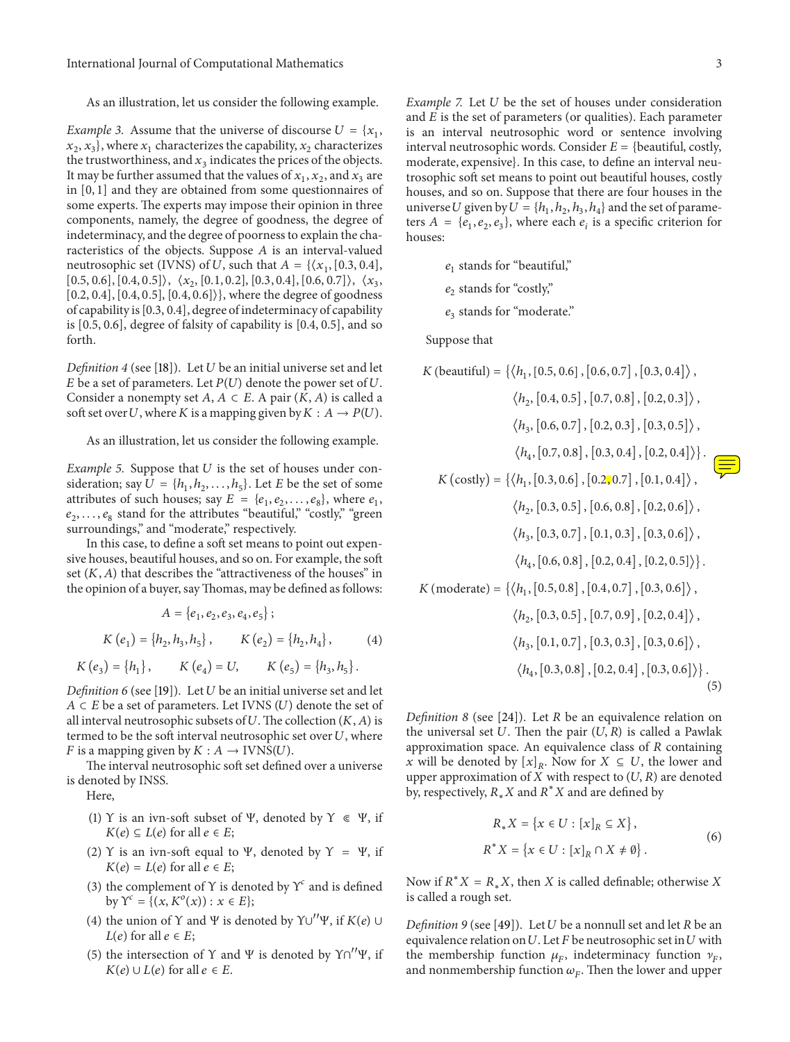As an illustration, let us consider the following example.

*Example 3.* Assume that the universe of discourse  $U = \{x_1, x_2, \ldots, x_n\}$  $x_2, x_3$ , where  $x_1$  characterizes the capability,  $x_2$  characterizes the trustworthiness, and  $x_3$  indicates the prices of the objects. It may be further assumed that the values of  $x_1, x_2$ , and  $x_3$  are in [0, 1] and they are obtained from some questionnaires of some experts. The experts may impose their opinion in three components, namely, the degree of goodness, the degree of indeterminacy, and the degree of poorness to explain the characteristics of the objects. Suppose  $A$  is an interval-valued neutrosophic set (IVNS) of U, such that  $A = \{ \langle x_1, [0.3, 0.4],$  $[0.5, 0.6], [0.4, 0.5] \rangle, \langle x_2, [0.1, 0.2], [0.3, 0.4], [0.6, 0.7] \rangle, \langle x_3,$ [0.2, 0.4], [0.4, 0.5], [0.4, 0.6]⟩}, where the degree of goodness of capability is[0.3, 0.4], degree of indeterminacy of capability is [0.5, 0.6], degree of falsity of capability is [0.4, 0.5], and so forth.

*Definition 4* (see [\[18](#page-11-16)]). Let  $U$  be an initial universe set and let  $E$  be a set of parameters. Let  $P(U)$  denote the power set of  $U$ . Consider a nonempty set  $A, A \subset E$ . A pair  $(K, A)$  is called a soft set over U, where K is a mapping given by  $K : A \rightarrow P(U)$ .

As an illustration, let us consider the following example.

*Example 5.* Suppose that  $U$  is the set of houses under consideration; say  $U = \{h_1, h_2, \ldots, h_5\}$ . Let E be the set of some attributes of such houses; say  $E = \{e_1, e_2, \ldots, e_8\}$ , where  $e_1$ ,  $e_2, \ldots, e_8$  stand for the attributes "beautiful," "costly," "green surroundings," and "moderate," respectively.

In this case, to define a soft set means to point out expensive houses, beautiful houses, and so on. For example, the soft set  $(K, A)$  that describes the "attractiveness of the houses" in the opinion of a buyer, say Thomas, may be defined as follows:

$$
A = \{e_1, e_2, e_3, e_4, e_5\};
$$
  

$$
K(e_1) = \{h_2, h_3, h_5\}, K(e_2) = \{h_2, h_4\},
$$
 (4)

 $K(e_3) = {h_1},$   $K(e_4) = U,$   $K(e_5) = {h_3, h_5}.$ 

*Definition 6* (see [\[19](#page-11-17)]). Let *U* be an initial universe set and let  $A \subset E$  be a set of parameters. Let IVNS (U) denote the set of all interval neutrosophic subsets of  $U$ . The collection  $(K, A)$  is termed to be the soft interval neutrosophic set over  $U$ , where *F* is a mapping given by  $K : A \rightarrow \text{IVNS}(U)$ .

The interval neutrosophic soft set defined over a universe is denoted by INSS.

Here,

- (1) Y is an ivn-soft subset of Ψ, denoted by  $Y \in \Psi$ , if  $K(e) \subseteq L(e)$  for all  $e \in E$ ;
- (2) Y is an ivn-soft equal to Ψ, denoted by  $Y = \Psi$ , if  $K(e) = L(e)$  for all  $e \in E$ ;
- (3) the complement of Y is denoted by  $\Upsilon^c$  and is defined by  $Y^c = \{(x, K^o(x)) : x \in E\};$
- (4) the union of Y and Ψ is denoted by  $\Upsilon \cup'' \Psi$ , if  $K(e) \cup$  $L(e)$  for all  $e \in E$ ;
- (5) the intersection of  $\Upsilon$  and  $\Psi$  is denoted by  $\Upsilon \cap \Upsilon' \Psi$ , if  $K(e) \cup L(e)$  for all  $e \in E$ .

*Example 7.* Let *U* be the set of houses under consideration and  $E$  is the set of parameters (or qualities). Each parameter is an interval neutrosophic word or sentence involving interval neutrosophic words. Consider  $E = \{$  beautiful, costly, moderate, expensive}. In this case, to define an interval neutrosophic soft set means to point out beautiful houses, costly houses, and so on. Suppose that there are four houses in the universe *U* given by  $U = \{h_1, h_2, h_3, h_4\}$  and the set of parameters  $A = \{e_1, e_2, e_3\}$ , where each  $e_i$  is a specific criterion for houses:

> $e_1$  stands for "beautiful,"  $e_2$  stands for "costly,"

> $e_3$  stands for "moderate."

Suppose that

$$
K \text{ (beautiful)} = \{ \langle h_1, [0.5, 0.6], [0.6, 0.7], [0.3, 0.4] \rangle, \\ \langle h_2, [0.4, 0.5], [0.7, 0.8], [0.2, 0.3] \rangle, \\ \langle h_3, [0.6, 0.7], [0.2, 0.3], [0.3, 0.5] \rangle, \\ \langle h_4, [0.7, 0.8], [0.3, 0.4], [0.2, 0.4] \rangle \}.
$$
\n
$$
K \text{ (costly)} = \{ \langle h_1, [0.3, 0.6], [0.2, 0.7], [0.1, 0.4] \rangle, \\ \langle h_2, [0.3, 0.5], [0.6, 0.8], [0.2, 0.6] \rangle, \\ \langle h_3, [0.3, 0.7], [0.1, 0.3], [0.3, 0.6] \rangle, \\ \langle h_4, [0.6, 0.8], [0.2, 0.4], [0.2, 0.5] \rangle \}.
$$
\n
$$
K \text{ (moderate)} = \{ \langle h_1, [0.5, 0.8], [0.4, 0.7], [0.3, 0.6] \rangle, \\ \langle h_2, [0.3, 0.5], [0.7, 0.9], [0.2, 0.4] \rangle, \\ \langle h_3, [0.1, 0.7], [0.3, 0.3], [0.3, 0.6] \rangle, \\ \langle h_4, [0.3, 0.8], [0.2, 0.4], [0.3, 0.6] \rangle \}.
$$
\n
$$
(5)
$$

*Definition 8* (see [\[24\]](#page-11-22)). Let *R* be an equivalence relation on the universal set U. Then the pair  $(U, R)$  is called a Pawlak approximation space. An equivalence class of  $R$  containing x will be denoted by  $[x]_R$ . Now for  $X \subseteq U$ , the lower and upper approximation of  $X$  with respect to  $(U, R)$  are denoted by, respectively,  $R_* X$  and  $R^* X$  and are defined by

$$
R_{*}X = \{x \in U : [x]_{R} \subseteq X\},\
$$
  

$$
R^{*}X = \{x \in U : [x]_{R} \cap X \neq \emptyset\}.
$$
  
(6)

Now if  $R^*X = R_*X$ , then X is called definable; otherwise X is called a rough set.

*Definition 9* (see [\[49](#page-12-8)]). Let  $U$  be a nonnull set and let  $R$  be an equivalence relation on  $U$ . Let  $F$  be neutrosophic set in  $U$  with the membership function  $\mu_F$ , indeterminacy function  $\nu_F$ , and nonmembership function  $\omega_F$ . Then the lower and upper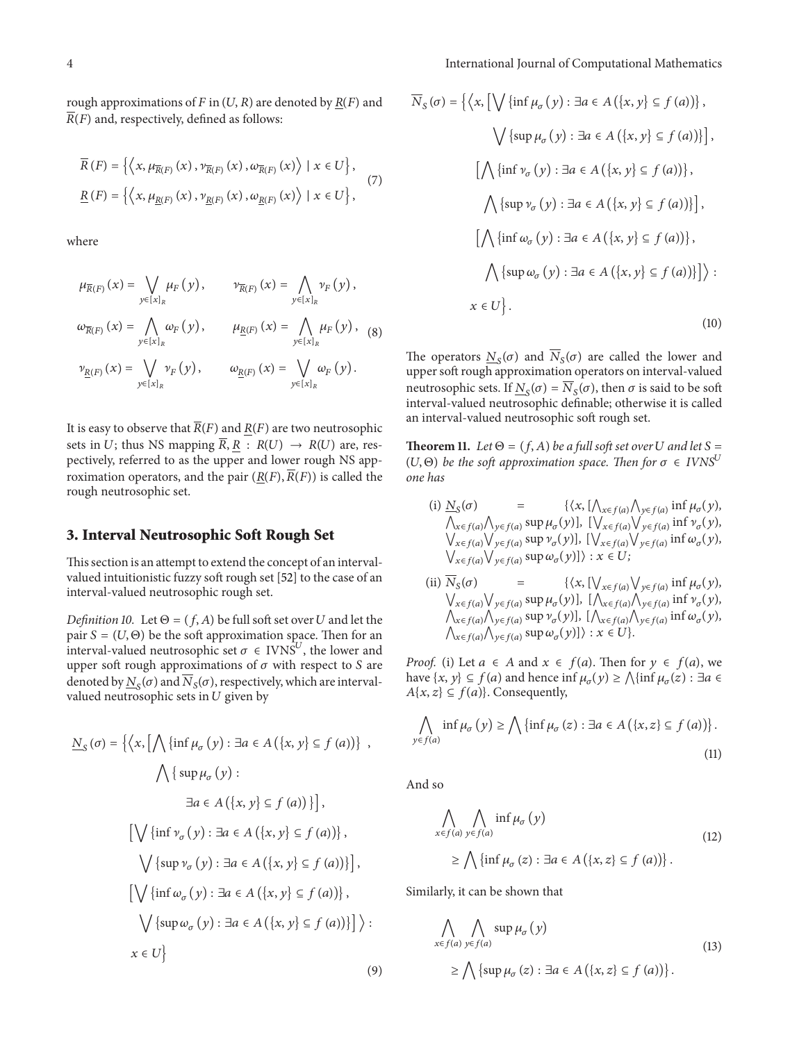rough approximations of  $F$  in  $(U, R)$  are denoted by  $R(F)$  and  $\overline{R}(F)$  and, respectively, defined as follows:

$$
\overline{R}(F) = \left\{ \left\langle x, \mu_{\overline{R}(F)}(x), \nu_{\overline{R}(F)}(x), \omega_{\overline{R}(F)}(x) \right\rangle \mid x \in U \right\},\
$$
\n
$$
\underline{R}(F) = \left\{ \left\langle x, \mu_{\underline{R}(F)}(x), \nu_{\underline{R}(F)}(x), \omega_{\underline{R}(F)}(x) \right\rangle \mid x \in U \right\},\
$$
\n(7)

where

$$
\mu_{\overline{R}(F)}(x) = \bigvee_{y \in [x]_R} \mu_F(y), \qquad \nu_{\overline{R}(F)}(x) = \bigwedge_{y \in [x]_R} \nu_F(y),
$$
  

$$
\omega_{\overline{R}(F)}(x) = \bigwedge_{y \in [x]_R} \omega_F(y), \qquad \mu_{\underline{R}(F)}(x) = \bigwedge_{y \in [x]_R} \mu_F(y),
$$
(8)  

$$
\nu_{\underline{R}(F)}(x) = \bigvee_{y \in [x]_R} \nu_F(y), \qquad \omega_{\underline{R}(F)}(x) = \bigvee_{y \in [x]_R} \omega_F(y).
$$

It is easy to observe that  $\overline{R}(F)$  and  $R(F)$  are two neutrosophic sets in U; thus NS mapping  $\overline{R}$ ,  $\underline{R}$  :  $R(U) \rightarrow R(U)$  are, respectively, referred to as the upper and lower rough NS approximation operators, and the pair  $(R(F), \overline{R}(F))$  is called the rough neutrosophic set.

#### <span id="page-3-0"></span>**3. Interval Neutrosophic Soft Rough Set**

This section is an attempt to extend the concept of an intervalvalued intuitionistic fuzzy soft rough set [\[52\]](#page-12-11) to the case of an interval-valued neutrosophic rough set.

*Definition 10.* Let  $\Theta = (f, A)$  be full soft set over *U* and let the pair  $S = (U, \Theta)$  be the soft approximation space. Then for an interval-valued neutrosophic set  $\sigma \in IVNS^U$ , the lower and upper soft rough approximations of  $\sigma$  with respect to  $S$  are denoted by  $N_{\rm s}(\sigma)$  and  $\overline{N}_{\rm s}(\sigma)$ , respectively, which are intervalvalued neutrosophic sets in  $U$  given by

$$
\underline{N}_{S}(\sigma) = \left\{ \left\langle x, \left[ \bigwedge \{ \inf \mu_{\sigma}(y) : \exists a \in A \left( \{x, y\} \subseteq f(a) \right) \} \right. \right. \right. \\ \left. \bigwedge \left\{ \sup \mu_{\sigma}(y) : \exists a \in A \left( \{x, y\} \subseteq f(a) \right) \} \right],
$$
\n
$$
\left[ \bigvee \left\{ \inf \nu_{\sigma}(y) : \exists a \in A \left( \{x, y\} \subseteq f(a) \right) \} \right],
$$
\n
$$
\bigvee \left\{ \sup \nu_{\sigma}(y) : \exists a \in A \left( \{x, y\} \subseteq f(a) \right) \} \right],
$$
\n
$$
\left[ \bigvee \left\{ \inf \omega_{\sigma}(y) : \exists a \in A \left( \{x, y\} \subseteq f(a) \right) \} \right],
$$
\n
$$
\bigvee \left\{ \sup \omega_{\sigma}(y) : \exists a \in A \left( \{x, y\} \subseteq f(a) \right) \} \right\} \right\}.
$$
\n
$$
x \in U \}
$$
\n(2)

$$
\overline{N}_{S}(\sigma) = \left\{ \left\langle x, \left[ \bigvee \{ \inf \mu_{\sigma}(y) : \exists a \in A \left( \{x, y\} \subseteq f(a) \right) \} \right, \right\} \right\}
$$
\n
$$
\left\langle \left\{ \sup \mu_{\sigma}(y) : \exists a \in A \left( \{x, y\} \subseteq f(a) \right) \} \right\}, \left\{ \left\langle \{ \inf \nu_{\sigma}(y) : \exists a \in A \left( \{x, y\} \subseteq f(a) \right) \} \right\}, \left\langle \left\{ \sup \nu_{\sigma}(y) : \exists a \in A \left( \{x, y\} \subseteq f(a) \right) \} \right\}, \left\langle \left\langle \{ \inf \omega_{\sigma}(y) : \exists a \in A \left( \{x, y\} \subseteq f(a) \right) \} \right\}, \left\langle \left\langle \{ \sup \omega_{\sigma}(y) : \exists a \in A \left( \{x, y\} \subseteq f(a) \right) \} \right\rangle \right\} \right\}
$$
\n
$$
x \in U \right\}.
$$
\n(10)

The operators  $N<sub>S</sub>(\sigma)$  and  $\overline{N}_S(\sigma)$  are called the lower and upper soft rough approximation operators on interval-valued neutrosophic sets. If  $N_s(\sigma) = \overline{N}_s(\sigma)$ , then  $\sigma$  is said to be soft interval-valued neutrosophic definable; otherwise it is called an interval-valued neutrosophic soft rough set.

**Theorem 11.** *Let*  $\Theta = (f, A)$  *be a full soft set over U and let*  $S =$  $(U, \Theta)$  *be the soft approximation space. Then for*  $\sigma \in IVNS^U$ *one has*

(i) 
$$
\underline{N}_S(\sigma) = \{ \langle x, [\Lambda_{x \in f(a)} \Lambda_{y \in f(a)} \text{ inf } \mu_{\sigma}(y), \Lambda_{x \in f(a)} \Lambda_{y \in f(a)} \text{ sup } \mu_{\sigma}(y) \}, [\Lambda_{x \in f(a)} \Lambda_{y \in f(a)} \text{ inf } \nu_{\sigma}(y), \Lambda_{x \in f(a)} \Lambda_{y \in f(a)} \text{ sup } \nu_{\sigma}(y) \}, [\Lambda_{x \in f(a)} \Lambda_{y \in f(a)} \text{ inf } \omega_{\sigma}(y), \Lambda_{x \in f(a)} \Lambda_{y \in f(a)} \text{ sup } \omega_{\sigma}(y) \} \colon x \in U;
$$
  
\n(ii)  $\overline{N}_S(\sigma) = \{ \langle x, [\Lambda_{x \in f(a)} \Lambda_{y \in f(a)} \text{ inf } \mu_{\sigma}(y), \Lambda_{x \in f(a)} \Lambda_{y \in f(a)} \text{ inf } \nu_{\sigma}(y), \Lambda_{x \in f(a)} \Lambda_{y \in f(a)} \text{ sup } \nu_{\sigma}(y) \}, [\Lambda_{x \in f(a)} \Lambda_{y \in f(a)} \text{ inf } \nu_{\sigma}(y), \Lambda_{x \in f(a)} \Lambda_{y \in f(a)} \text{ sup } \omega_{\sigma}(y) \} \colon x \in U;$ 

*Proof.* (i) Let  $a \in A$  and  $x \in f(a)$ . Then for  $y \in f(a)$ , we have  $\{x, y\} \subseteq f(a)$  and hence inf  $\mu_{\sigma}(y) \ge \bigwedge \{\inf \mu_{\sigma}(z) : \exists a \in$  $A\{x, z\} \subseteq f(a)$ . Consequently,

$$
\bigwedge_{y \in f(a)} \inf \mu_{\sigma}(y) \ge \bigwedge \{ \inf \mu_{\sigma}(z) : \exists a \in A \, (\{x, z\} \subseteq f(a)) \}.
$$
\n(11)

And so

$$
\bigwedge_{x \in f(a)} \bigwedge_{y \in f(a)} \inf \mu_{\sigma}(y) \tag{12}
$$
\n
$$
\geq \bigwedge \{ \inf \mu_{\sigma}(z) : \exists a \in A \left( \{x, z\} \subseteq f(a) \right) \}.
$$

Similarly, it can be shown that

$$
\bigwedge_{x \in f(a)} \bigwedge_{y \in f(a)} \sup \mu_{\sigma}(y)
$$
\n
$$
\geq \bigwedge \{ \sup \mu_{\sigma}(z) : \exists a \in A \left( \{x, z\} \subseteq f(a) \right) \}.
$$
\n(13)

$$
\left( 9\right)
$$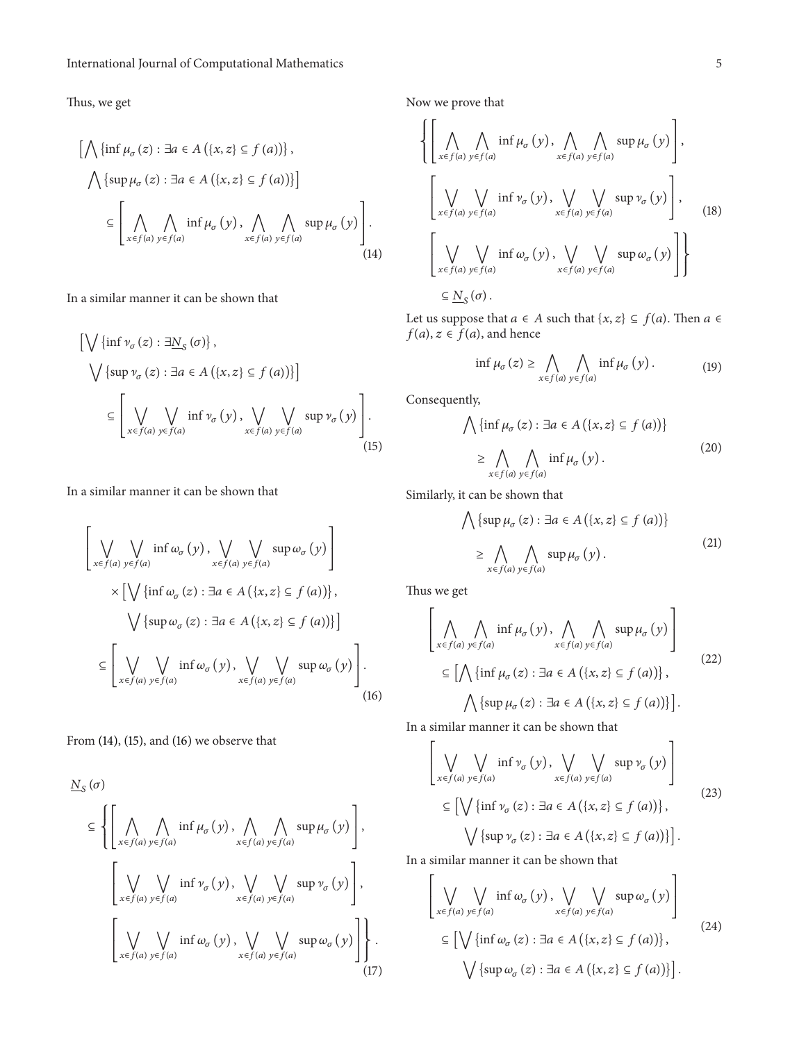Thus, we get

$$
\left[\bigwedge \{\inf \mu_{\sigma}(z) : \exists a \in A \left(\{x, z\} \subseteq f(a)\right)\}\right],
$$
  

$$
\bigwedge \{\sup \mu_{\sigma}(z) : \exists a \in A \left(\{x, z\} \subseteq f(a)\right)\}\right]
$$
  

$$
\subseteq \left[\bigwedge_{x \in f(a)} \bigwedge_{y \in f(a)} \inf \mu_{\sigma}(y), \bigwedge_{x \in f(a)} \bigwedge_{y \in f(a)} \sup \mu_{\sigma}(y)\right].
$$
  
(14)

In a similar manner it can be shown that

$$
\left[\bigvee \{\inf \nu_{\sigma}(z) : \exists \underline{N}_{\mathcal{S}}(\sigma)\},\right]
$$
\n
$$
\bigvee \{\sup \nu_{\sigma}(z) : \exists a \in A (\{x,z\} \subseteq f(a))\}\right]
$$
\n
$$
\subseteq \left[\bigvee_{x \in f(a)} \bigvee_{y \in f(a)} \inf \nu_{\sigma}(y), \bigvee_{x \in f(a)} \bigvee_{y \in f(a)} \sup \nu_{\sigma}(y)\right].
$$
\n(15)

In a similar manner it can be shown that

$$
\left[\bigvee_{x \in f(a)} \bigvee_{y \in f(a)} \inf \omega_{\sigma}(y), \bigvee_{x \in f(a)} \bigvee_{y \in f(a)} \sup \omega_{\sigma}(y)\right] \times \left[\bigvee \{\inf \omega_{\sigma}(z) : \exists a \in A \left(\{x, z\} \subseteq f(a)\right)\}\right],
$$
\n
$$
\bigvee \{\sup \omega_{\sigma}(z) : \exists a \in A \left(\{x, z\} \subseteq f(a)\right)\}\right]
$$
\n
$$
\subseteq \left[\bigvee_{x \in f(a)} \bigvee_{y \in f(a)} \inf \omega_{\sigma}(y), \bigvee_{x \in f(a)} \bigvee_{y \in f(a)} \sup \omega_{\sigma}(y)\right].
$$
\n(16)

From [\(14\),](#page-4-0) [\(15\),](#page-4-1) and [\(16\)](#page-4-2) we observe that

$$
\underline{N}_{S}(\sigma)
$$
\n
$$
\subseteq \left\{ \left[ \bigwedge_{x \in f(a)} \bigwedge_{y \in f(a)} \inf_{\varphi_{\sigma}} (y), \bigwedge_{x \in f(a)} \bigwedge_{y \in f(a)} \sup_{\psi_{\sigma}} (\gamma) \right], \right\}
$$
\n
$$
\left[ \bigvee_{x \in f(a)} \bigvee_{y \in f(a)} \inf_{y \in f(a)} \gamma_{\sigma} (y), \bigvee_{x \in f(a)} \bigvee_{y \in f(a)} \sup_{y \in f(a)} \gamma_{\sigma} (y) \right],
$$
\n
$$
\left[ \bigvee_{x \in f(a)} \bigvee_{y \in f(a)} \inf_{\varphi_{\sigma}} (\gamma), \bigvee_{x \in f(a)} \bigvee_{y \in f(a)} \sup_{\varphi_{\sigma}} (\gamma) \right] \right\}.
$$
\n(17)

Now we prove that

$$
\left\{\left[\bigwedge_{x \in f(a)} \bigwedge_{y \in f(a)} \inf \mu_{\sigma}(y), \bigwedge_{x \in f(a)} \bigwedge_{y \in f(a)} \sup \mu_{\sigma}(y)\right],\right\}\left[\bigvee_{x \in f(a)} \bigvee_{y \in f(a)} \inf \nu_{\sigma}(y), \bigvee_{x \in f(a)} \bigvee_{y \in f(a)} \sup \nu_{\sigma}(y)\right],\right\}\left[\bigvee_{x \in f(a)} \bigvee_{y \in f(a)} \inf \omega_{\sigma}(y), \bigvee_{x \in f(a)} \bigvee_{y \in f(a)} \sup \omega_{\sigma}(y)\right]\right\}\subseteq \underline{N}_{S}(\sigma).
$$

<span id="page-4-0"></span>Let us suppose that  $a \in A$  such that  $\{x, z\} \subseteq f(a)$ . Then  $a \in A$  $f(a), z \in f(a)$ , and hence

$$
\inf \mu_{\sigma}(z) \geq \bigwedge_{x \in f(a)} \bigwedge_{y \in f(a)} \inf \mu_{\sigma}(y). \tag{19}
$$

<span id="page-4-1"></span>Consequently,

$$
\bigwedge \{\inf \mu_{\sigma}(z) : \exists a \in A (\{x, z\} \subseteq f (a))\}
$$
  
 
$$
\geq \bigwedge_{x \in f(a)} \bigwedge_{y \in f(a)} \inf \mu_{\sigma}(y).
$$
 (20)

Similarly, it can be shown that

$$
\bigwedge \{\sup \mu_{\sigma}(z) : \exists a \in A (\{x, z\} \subseteq f (a))\}
$$
  
 
$$
\geq \bigwedge_{x \in f(a)} \bigwedge_{y \in f(a)} \sup \mu_{\sigma}(y).
$$
 (21)

Thus we get

$$
\left[\bigwedge_{x \in f(a)} \bigwedge_{y \in f(a)} \inf \mu_{\sigma}(y), \bigwedge_{x \in f(a)} \bigwedge_{y \in f(a)} \sup \mu_{\sigma}(y)\right]
$$
\n
$$
\subseteq \left[\bigwedge \{\inf \mu_{\sigma}(z) : \exists a \in A \{ \{x, z\} \subseteq f(a) \} \}, \bigwedge \{\sup \mu_{\sigma}(z) : \exists a \in A \{ \{x, z\} \subseteq f(a) \} \}\right].
$$
\n(22)

<span id="page-4-2"></span>In a similar manner it can be shown that

$$
\left[\bigvee_{x \in f(a)} \bigvee_{y \in f(a)} \inf_{\nu_{\sigma}} (\mathbf{y}), \bigvee_{x \in f(a)} \bigvee_{y \in f(a)} \sup_{\nu_{\sigma}} \nu_{\sigma} (\mathbf{y})\right]
$$
\n
$$
\subseteq \left[\bigvee \{\inf \nu_{\sigma}(z) : \exists a \in A (\{x, z\} \subseteq f (a))\}, \bigvee \{\sup \nu_{\sigma}(z) : \exists a \in A (\{x, z\} \subseteq f (a))\}\right].
$$
\n(23)

In a similar manner it can be shown that  $\overline{a}$ 

<span id="page-4-6"></span>
$$
\left[ \bigvee_{x \in f(a)} \bigvee_{y \in f(a)} \inf \omega_{\sigma}(y), \bigvee_{x \in f(a)} \bigvee_{y \in f(a)} \sup \omega_{\sigma}(y) \right] \subseteq \left[ \bigvee \{ \inf \omega_{\sigma}(z) : \exists a \in A \left( \{x, z\} \subseteq f(a) \right) \}, \bigvee \{ \sup \omega_{\sigma}(z) : \exists a \in A \left( \{x, z\} \subseteq f(a) \right) \} \right].
$$
\n(24)

<span id="page-4-5"></span><span id="page-4-4"></span><span id="page-4-3"></span>L.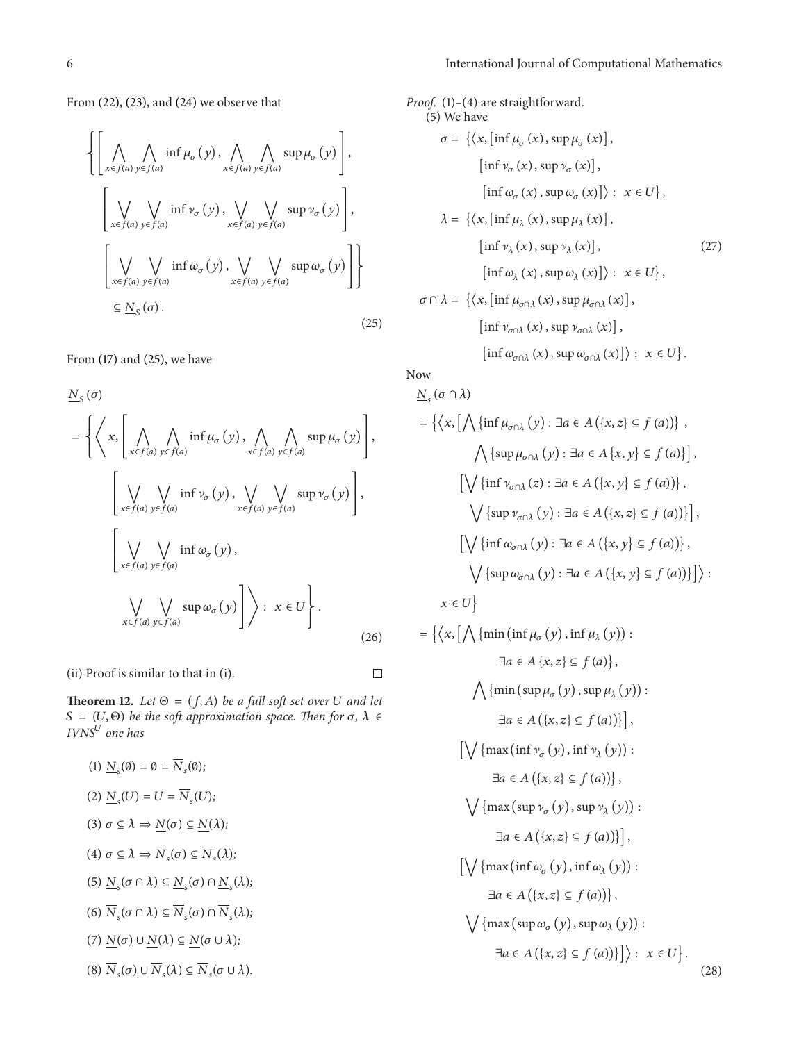From [\(22\),](#page-4-3) [\(23\),](#page-4-4) and [\(24\)](#page-4-5) we observe that

$$
\left\{\left[\bigwedge_{x \in f(a)} \bigwedge_{y \in f(a)} \inf \mu_{\sigma}(y), \bigwedge_{x \in f(a)} \bigwedge_{y \in f(a)} \sup \mu_{\sigma}(y)\right],\right\}\left[\bigvee_{x \in f(a)} \bigvee_{y \in f(a)} \inf \nu_{\sigma}(y), \bigvee_{x \in f(a)} \bigvee_{y \in f(a)} \sup \nu_{\sigma}(y)\right],\right\}\left[\bigvee_{x \in f(a)} \bigvee_{y \in f(a)} \inf \omega_{\sigma}(y), \bigvee_{x \in f(a)} \bigvee_{y \in f(a)} \sup \omega_{\sigma}(y)\right]\right\}\subseteq \underline{N}_{\mathcal{S}}(\sigma).
$$
\n(25)

From [\(17\)](#page-4-6) and [\(25\),](#page-5-0) we have

$$
\underline{N}_{S}(\sigma)
$$
\n
$$
= \left\{ \left\langle x, \left[ \bigwedge_{x \in f(a)} \bigwedge_{y \in f(a)} \inf \mu_{\sigma}(y), \bigwedge_{x \in f(a)} \bigwedge_{y \in f(a)} \sup \mu_{\sigma}(y) \right], \left[ \bigvee_{x \in f(a)} \bigvee_{y \in f(a)} \inf \nu_{\sigma}(y), \bigvee_{x \in f(a)} \bigvee_{y \in f(a)} \sup \nu_{\sigma}(y) \right], \left[ \bigvee_{x \in f(a)} \bigvee_{y \in f(a)} \inf \omega_{\sigma}(y), \left[ \bigvee_{x \in f(a)} \bigvee_{y \in f(a)} \sup \omega_{\sigma}(y) \right] \right\} : x \in U \right\}.
$$
\n(26)

(ii) Proof is similar to that in (i).

 $\Box$ 

**Theorem 12.** *Let*  $\Theta = (f, A)$  *be a full soft set over U and let*  $S = (U, \Theta)$  *be the soft approximation space. Then for*  $\sigma$ ,  $\lambda \in$ *IVNS one has*

(1) 
$$
\underline{N}_s(\emptyset) = \emptyset = \overline{N}_s(\emptyset);
$$
  
\n(2)  $\underline{N}_s(U) = U = \overline{N}_s(U);$   
\n(3)  $\sigma \subseteq \lambda \Rightarrow \underline{N}(\sigma) \subseteq \underline{N}(\lambda);$   
\n(4)  $\sigma \subseteq \lambda \Rightarrow \overline{N}_s(\sigma) \subseteq \overline{N}_s(\lambda);$   
\n(5)  $\underline{N}_s(\sigma \cap \lambda) \subseteq \underline{N}_s(\sigma) \cap \underline{N}_s(\lambda);$   
\n(6)  $\overline{N}_s(\sigma \cap \lambda) \subseteq \overline{N}_s(\sigma) \cap \overline{N}_s(\lambda);$   
\n(7)  $\underline{N}(\sigma) \cup \underline{N}(\lambda) \subseteq \underline{N}(\sigma \cup \lambda);$   
\n(8)  $\overline{N}_s(\sigma) \cup \overline{N}_s(\lambda) \subseteq \overline{N}_s(\sigma \cup \lambda).$ 

*Proof.* (1)–(4) are straightforward.  
\n(5) We have  
\n
$$
\sigma = \{ \langle x, [\inf \mu_{\sigma}(x), \sup \mu_{\sigma}(x)],
$$
\n
$$
[\inf \nu_{\sigma}(x), \sup \nu_{\sigma}(x)],
$$
\n
$$
[\inf \omega_{\sigma}(x), \sup \omega_{\sigma}(x)] \rangle : x \in U \},
$$
\n
$$
\lambda = \{ \langle x, [\inf \mu_{\lambda}(x), \sup \mu_{\lambda}(x)],
$$
\n
$$
[\inf \nu_{\lambda}(x), \sup \nu_{\lambda}(x)],
$$
\n
$$
[\inf \omega_{\lambda}(x), \sup \omega_{\lambda}(x)] \rangle : x \in U \},
$$
\n
$$
\sigma \cap \lambda = \{ \langle x, [\inf \mu_{\sigma \cap \lambda}(x), \sup \mu_{\sigma \cap \lambda}(x)],
$$
\n
$$
[\inf \nu_{\sigma \cap \lambda}(x), \sup \nu_{\sigma \cap \lambda}(x)],
$$
\n
$$
[\inf \omega_{\sigma \cap \lambda}(x), \sup \omega_{\sigma \cap \lambda}(x)] \rangle : x \in U \}.
$$

<span id="page-5-0"></span>Now

$$
\underline{N}_{s}(\sigma \cap \lambda)
$$
\n
$$
= \left\{ \left\langle x, \left[ \bigwedge \{ \inf \mu_{\sigma \cap \lambda} (y) : \exists a \in A \{ \{x, z\} \subseteq f (a) \} \right, \right\} \right\}
$$
\n
$$
\bigwedge \left\{ \sup \mu_{\sigma \cap \lambda} (y) : \exists a \in A \{ x, y \} \subseteq f (a) \} \right\},
$$
\n
$$
\left[ \bigvee \{ \inf \nu_{\sigma \cap \lambda} (z) : \exists a \in A \{ \{x, y\} \subseteq f (a) \} \} \right],
$$
\n
$$
\left[ \bigvee \{ \inf \nu_{\sigma \cap \lambda} (y) : \exists a \in A \{ \{x, z\} \subseteq f (a) \} \} \right],
$$
\n
$$
\left[ \bigvee \{ \inf \omega_{\sigma \cap \lambda} (y) : \exists a \in A \{ \{x, y\} \subseteq f (a) \} \} \right],
$$
\n
$$
\left\langle \left\{ \sup \omega_{\sigma \cap \lambda} (y) : \exists a \in A \{ \{x, y\} \subseteq f (a) \} \} \right\} \right\}.
$$
\n
$$
x \in U \right\}
$$
\n
$$
= \left\{ \left\langle x, \left[ \bigwedge \{ \min \left( \inf \mu_{\sigma} (y), \inf \mu_{\lambda} (y) \right) : \right. \right. \\ \left. \left\langle x \in U \} \right| \right. \left\{ \min \left( \sup \mu_{\sigma} (y), \sup \mu_{\lambda} (y) \right) : \right. \right. \\ \left. \left\langle x \in A \{ \{ x, z \} \subseteq f (a) \} \} \right. \right\},
$$
\n
$$
\left[ \bigvee \left\{ \max \left( \inf \nu_{\sigma} (y), \sup \mu_{\lambda} (y) \right) : \right. \right. \\ \left. \left\langle x \in A \{ \{ x, z \} \subseteq f (a) \} \} \right. \right\},
$$
\n
$$
\left[ \bigvee \left\{ \max \left( \sup \nu_{\sigma} (y), \sup \nu_{\lambda} (y) \right) : \right. \right. \\ \left. \left\langle x \in A \{ \{ x, z \} \subseteq
$$

<span id="page-5-1"></span>(28)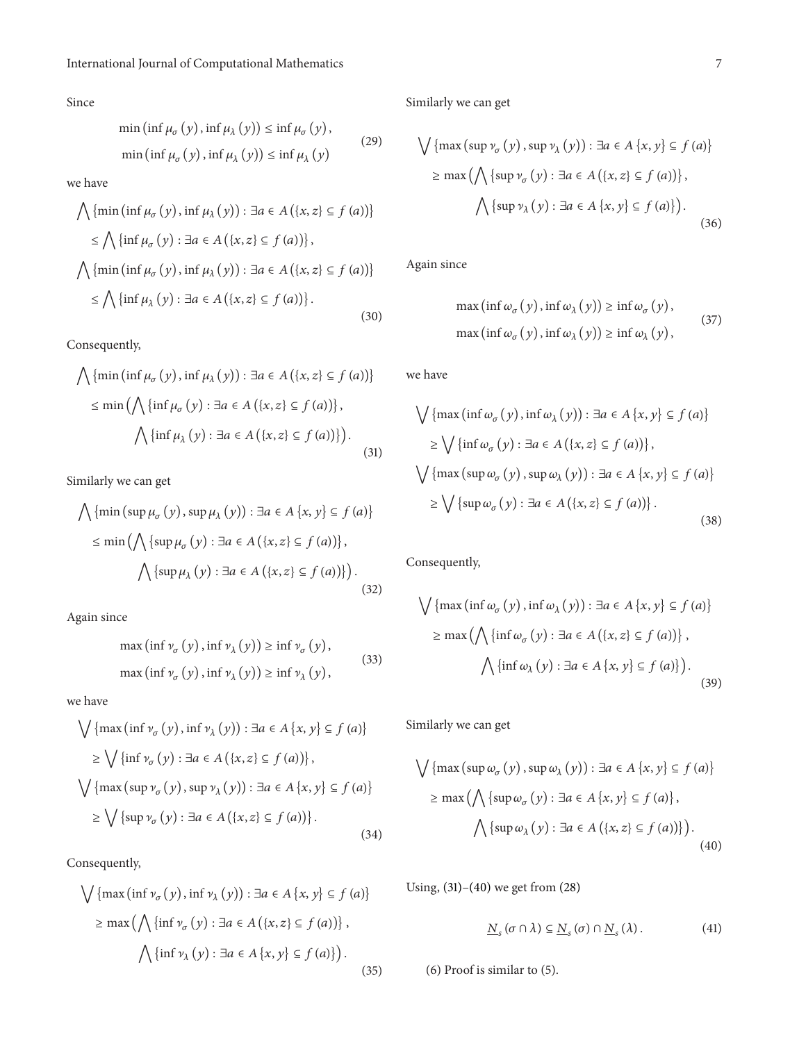Since

$$
\min\left(\inf \mu_{\sigma}(y), \inf \mu_{\lambda}(y)\right) \le \inf \mu_{\sigma}(y),
$$
  

$$
\min\left(\inf \mu_{\sigma}(y), \inf \mu_{\lambda}(y)\right) \le \inf \mu_{\lambda}(y)
$$
 (29)

we have

$$
\bigwedge \{\min\left(\inf \mu_{\sigma}(y), \inf \mu_{\lambda}(y)\right) : \exists a \in A (\{x, z\} \subseteq f(a))\}
$$

$$
\leq \bigwedge \{\inf \mu_{\sigma}(y) : \exists a \in A (\{x, z\} \subseteq f(a))\},\
$$

$$
\bigwedge \{\min\left(\inf \mu_{\sigma}(y), \inf \mu_{\lambda}(y)\right) : \exists a \in A (\{x, z\} \subseteq f(a))\}
$$

$$
\leq \bigwedge \{\inf \mu_{\lambda}(y) : \exists a \in A (\{x, z\} \subseteq f(a))\}.
$$
(30)

Consequently,

$$
\bigwedge \{\min\left(\inf \mu_{\sigma}(y), \inf \mu_{\lambda}(y)\right) : \exists a \in A \left(\{x, z\} \subseteq f(a)\right)\}\
$$

$$
\leq \min\left(\bigwedge \{\inf \mu_{\sigma}(y) : \exists a \in A \left(\{x, z\} \subseteq f(a)\right)\}\right),\n\bigwedge \{\inf \mu_{\lambda}(y) : \exists a \in A \left(\{x, z\} \subseteq f(a)\right)\}\right).
$$
\n(31)

Similarly we can get

$$
\bigwedge \{\min (\sup \mu_{\sigma} (y), \sup \mu_{\lambda} (y)) : \exists a \in A \{x, y\} \subseteq f (a) \}
$$

$$
\leq \min \left( \bigwedge \{\sup \mu_{\sigma} (y) : \exists a \in A \{ \{x, z\} \subseteq f (a) \} \right),
$$

$$
\bigwedge \{\sup \mu_{\lambda} (y) : \exists a \in A \{ \{x, z\} \subseteq f (a) \} \}.
$$
(32)

Again since

$$
\max\left(\inf \nu_{\sigma}(y), \inf \nu_{\lambda}(y)\right) \ge \inf \nu_{\sigma}(y),
$$
  

$$
\max\left(\inf \nu_{\sigma}(y), \inf \nu_{\lambda}(y)\right) \ge \inf \nu_{\lambda}(y),
$$
 (33)

we have

$$
\bigvee \{ \max (\inf \nu_{\sigma} (y), \inf \nu_{\lambda} (y)) : \exists a \in A \{x, y\} \subseteq f (a) \}
$$

$$
\geq \bigvee \{ \inf \nu_{\sigma} (y) : \exists a \in A \{ \{x, z\} \subseteq f (a) \} \},
$$

$$
\bigvee \{ \max (\sup \nu_{\sigma} (y), \sup \nu_{\lambda} (y)) : \exists a \in A \{x, y\} \subseteq f (a) \}
$$

$$
\geq \bigvee \{ \sup \nu_{\sigma} (y) : \exists a \in A \{ \{x, z\} \subseteq f (a) \} \}.
$$
(34)

Consequently,

$$
\bigvee \{ \max (\inf \nu_{\sigma} (y), \inf \nu_{\lambda} (y)) : \exists a \in A \{x, y\} \subseteq f (a) \}
$$

$$
\geq \max \left( \bigwedge \{ \inf \nu_{\sigma} (y) : \exists a \in A \{ \{x, z\} \subseteq f (a) \} \right),
$$

$$
\bigwedge \{ \inf \nu_{\lambda} (y) : \exists a \in A \{x, y\} \subseteq f (a) \} \right).
$$
(35)

Similarly we can get

$$
\bigvee \{ \max (\sup \nu_{\sigma} (y), \sup \nu_{\lambda} (y)) : \exists a \in A \{x, y\} \subseteq f (a) \}
$$

$$
\geq \max \left( \bigwedge \{ \sup \nu_{\sigma} (y) : \exists a \in A \{ \{x, z\} \subseteq f (a) \} \right),
$$

$$
\bigwedge \{ \sup \nu_{\lambda} (y) : \exists a \in A \{x, y\} \subseteq f (a) \} \right).
$$
(36)

Again since

$$
\max\left(\inf \omega_{\sigma}(y), \inf \omega_{\lambda}(y)\right) \ge \inf \omega_{\sigma}(y),
$$
  

$$
\max\left(\inf \omega_{\sigma}(y), \inf \omega_{\lambda}(y)\right) \ge \inf \omega_{\lambda}(y),
$$
 (37)

we have

<span id="page-6-0"></span>
$$
\bigvee \{ \max (\inf \omega_{\sigma} (y), \inf \omega_{\lambda} (y)) : \exists a \in A \{x, y\} \subseteq f (a) \}
$$
  
\n
$$
\geq \bigvee \{ \inf \omega_{\sigma} (y) : \exists a \in A (\{x, z\} \subseteq f (a)) \},
$$
  
\n
$$
\bigvee \{ \max (\sup \omega_{\sigma} (y), \sup \omega_{\lambda} (y)) : \exists a \in A \{x, y\} \subseteq f (a) \}
$$
  
\n
$$
\geq \bigvee \{ \sup \omega_{\sigma} (y) : \exists a \in A (\{x, z\} \subseteq f (a)) \}.
$$
\n(38)

Consequently,

$$
\bigvee \{ \max (\inf \omega_{\sigma} (y), \inf \omega_{\lambda} (y)) : \exists a \in A \{x, y\} \subseteq f (a) \}
$$

$$
\geq \max \left( \bigwedge \{ \inf \omega_{\sigma} (y) : \exists a \in A \{ \{x, z\} \subseteq f (a) \} \right),
$$

$$
\bigwedge \{ \inf \omega_{\lambda} (y) : \exists a \in A \{x, y\} \subseteq f (a) \} \right).
$$
(39)

Similarly we can get

$$
\bigvee \{ \max (\sup \omega_{\sigma} (y), \sup \omega_{\lambda} (y)) : \exists a \in A \{x, y\} \subseteq f (a) \}
$$

$$
\geq \max (\bigwedge \{ \sup \omega_{\sigma} (y) : \exists a \in A \{x, y\} \subseteq f (a) \}, \bigwedge \{ \sup \omega_{\lambda} (y) : \exists a \in A \{ \{x, z\} \subseteq f (a) \} \} ).
$$
(40)

Using, [\(31\)](#page-6-0)[–\(40\)](#page-6-1) we get from [\(28\)](#page-5-1)

<span id="page-6-1"></span>
$$
\underline{N}_s\left(\sigma \cap \lambda\right) \subseteq \underline{N}_s\left(\sigma\right) \cap \underline{N}_s\left(\lambda\right). \tag{41}
$$

(6) Proof is similar to (5).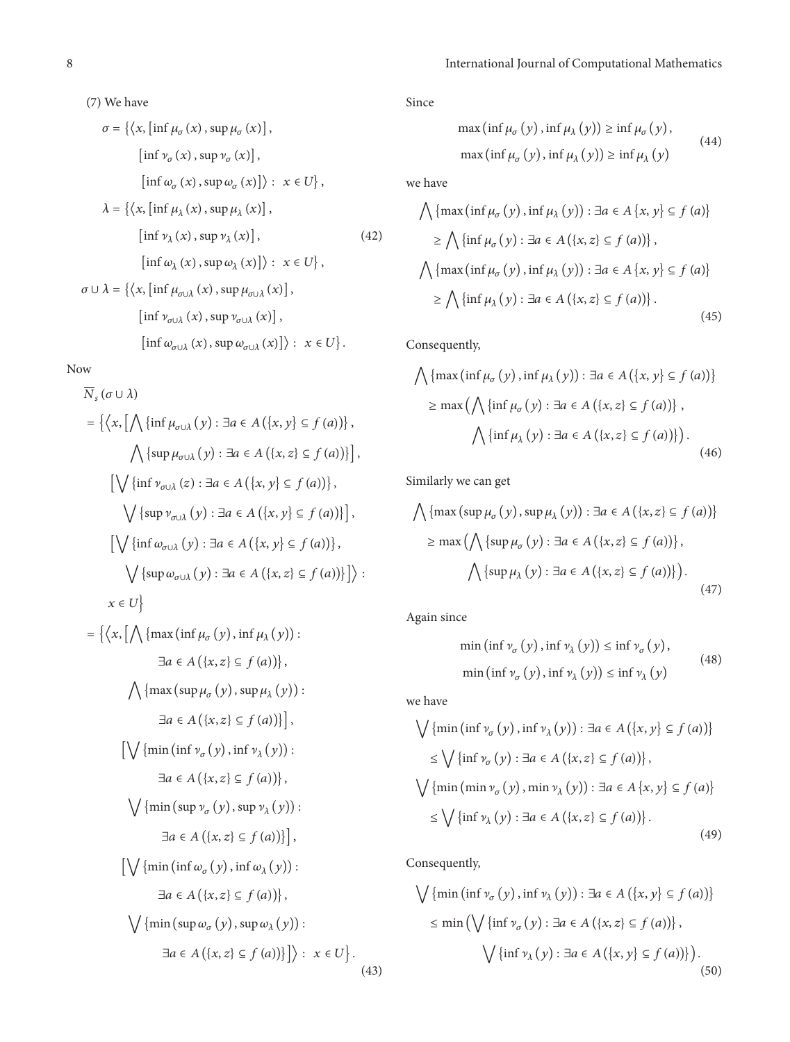(7) We have

$$
\sigma = \{ \langle x, \left[ \inf \mu_{\sigma}(x), \sup \mu_{\sigma}(x) \right], \right.
$$
  
\n
$$
\left[ \inf \nu_{\sigma}(x), \sup \nu_{\sigma}(x) \right],
$$
  
\n
$$
\left[ \inf \omega_{\sigma}(x), \sup \omega_{\sigma}(x) \right] \rangle : x \in U \},
$$
  
\n
$$
\lambda = \{ \langle x, \left[ \inf \mu_{\lambda}(x), \sup \mu_{\lambda}(x) \right], \right.
$$
  
\n
$$
\left[ \inf \nu_{\lambda}(x), \sup \nu_{\lambda}(x) \right], \qquad (42)
$$
  
\n
$$
\left[ \inf \omega_{\lambda}(x), \sup \omega_{\lambda}(x) \right] \rangle : x \in U \},
$$
  
\n
$$
\sigma \cup \lambda = \{ \langle x, \left[ \inf \mu_{\sigma \cup \lambda}(x), \sup \mu_{\sigma \cup \lambda}(x) \right], \left[ \inf \nu_{\sigma \cup \lambda}(x), \sup \nu_{\sigma \cup \lambda}(x) \right], \left[ \inf \omega_{\sigma \cup \lambda}(x), \sup \omega_{\sigma \cup \lambda}(x) \right] \rangle : x \in U \}.
$$

Now

$$
\overline{N}_{s}(\sigma \cup \lambda)
$$
\n
$$
= \left\{ \left\langle x, \left[ \bigwedge \{ \inf \mu_{\sigma \cup \lambda} (y) : \exists a \in A (\{x, y\} \subseteq f (a)) \} \right, \right\} \right\}
$$
\n
$$
\left\langle \left\{ \sup \mu_{\sigma \cup \lambda} (y) : \exists a \in A (\{x, z\} \subseteq f (a)) \} \right, \right\}
$$
\n
$$
\left\langle \left\{ \inf \nu_{\sigma \cup \lambda} (z) : \exists a \in A (\{x, y\} \subseteq f (a)) \} \right, \right\}
$$
\n
$$
\left\langle \left\{ \sup \nu_{\sigma \cup \lambda} (y) : \exists a \in A (\{x, y\} \subseteq f (a)) \} \right\} \right\}
$$
\n
$$
\left\langle \left\{ \inf \omega_{\sigma \cup \lambda} (y) : \exists a \in A (\{x, y\} \subseteq f (a)) \} \right\} \right\}
$$
\n
$$
\left\langle \left\{ \sup \mu_{\sigma \cup \lambda} (y) : \exists a \in A (\{x, z\} \subseteq f (a)) \} \right\} \right\}
$$
\n
$$
x \in U \right\}
$$
\n
$$
= \left\{ \left\langle x, \left[ \bigwedge \{ \max (\inf \mu_{\sigma} (y), \inf \mu_{\lambda} (y)) : \exists a \in A (\{x, z\} \subseteq f (a)) \} \right, \right\}
$$
\n
$$
\left\langle \left\{ \max (\sup \mu_{\sigma} (y), \sup \mu_{\lambda} (y)) : \exists a \in A (\{x, z\} \subseteq f (a)) \} \right\} \right\}
$$
\n
$$
\left\langle \left\langle \left\langle \min (\inf \nu_{\sigma} (y), \sup \nu_{\lambda} (y)) : \exists a \in A (\{x, z\} \subseteq f (a)) \} \right\} \right\rangle
$$
\n
$$
\left\langle \left\langle \min (\sup \nu_{\sigma} (y), \sup \nu_{\lambda} (y)) : \exists a \in A (\{x, z\} \subseteq f (a)) \} \right\} \right\}
$$
\n
$$
\left\langle \left\langle \left\langle \min (\mu_{\sigma} (y), \sup \nu_{\lambda} (y)) : \exists a \in A (\{
$$

Since

$$
\max\left(\inf \mu_{\sigma}(y), \inf \mu_{\lambda}(y)\right) \ge \inf \mu_{\sigma}(y),
$$
  

$$
\max\left(\inf \mu_{\sigma}(y), \inf \mu_{\lambda}(y)\right) \ge \inf \mu_{\lambda}(y)
$$
 (44)

we have

$$
\bigwedge \{ \max (\inf \mu_{\sigma} (y), \inf \mu_{\lambda} (y)) : \exists a \in A \{x, y\} \subseteq f (a) \}
$$

$$
\geq \bigwedge \{ \inf \mu_{\sigma} (y) : \exists a \in A \{ \{x, z\} \subseteq f (a) \} \},
$$

$$
\bigwedge \{ \max (\inf \mu_{\sigma} (y), \inf \mu_{\lambda} (y)) : \exists a \in A \{x, y\} \subseteq f (a) \}
$$

$$
\geq \bigwedge \{ \inf \mu_{\lambda} (y) : \exists a \in A \{ \{x, z\} \subseteq f (a) \} \}.
$$
(45)

Consequently,

$$
\bigwedge \{ \max (\inf \mu_{\sigma}(y), \inf \mu_{\lambda}(y)) : \exists a \in A (\{x, y\} \subseteq f (a)) \}
$$

$$
\geq \max (\bigwedge \{ \inf \mu_{\sigma}(y) : \exists a \in A (\{x, z\} \subseteq f (a)) \},
$$

$$
\bigwedge \{ \inf \mu_{\lambda}(y) : \exists a \in A (\{x, z\} \subseteq f (a)) \} ).
$$
(46)

Similarly we can get

<span id="page-7-0"></span>
$$
\bigwedge \{ \max (\sup \mu_{\sigma} (y), \sup \mu_{\lambda} (y)) : \exists a \in A (\{x, z\} \subseteq f (a)) \}
$$

$$
\geq \max \left( \bigwedge \{ \sup \mu_{\sigma} (y) : \exists a \in A (\{x, z\} \subseteq f (a)) \} \right),
$$

$$
\bigwedge \{ \sup \mu_{\lambda} (y) : \exists a \in A (\{x, z\} \subseteq f (a)) \} \right).
$$
(47)

Again since

$$
\min\left(\inf \nu_{\sigma}\left(y\right), \inf \nu_{\lambda}\left(y\right)\right) \le \inf \nu_{\sigma}\left(y\right),\
$$

$$
\min\left(\inf \nu_{\sigma}\left(y\right), \inf \nu_{\lambda}\left(y\right)\right) \le \inf \nu_{\lambda}\left(y\right) \tag{48}
$$

we have

$$
\bigvee \{\min (\inf \nu_{\sigma}(y), \inf \nu_{\lambda}(y)) : \exists a \in A (\{x, y\} \subseteq f(a))\}
$$
  

$$
\leq \bigvee \{\inf \nu_{\sigma}(y) : \exists a \in A (\{x, z\} \subseteq f(a))\},\
$$
  

$$
\bigvee \{\min (\min \nu_{\sigma}(y), \min \nu_{\lambda}(y)) : \exists a \in A \{x, y\} \subseteq f(a)\}
$$
  

$$
\leq \bigvee \{\inf \nu_{\lambda}(y) : \exists a \in A (\{x, z\} \subseteq f(a))\}.
$$
 (49)

Consequently,

<span id="page-7-1"></span>
$$
\bigvee \{\min\left(\inf \nu_{\sigma}(y), \inf \nu_{\lambda}(y)\right) : \exists a \in A\left(\{x, y\} \subseteq f(a)\right)\}\
$$

$$
\leq \min\left(\bigvee \{\inf \nu_{\sigma}(y) : \exists a \in A\left(\{x, z\} \subseteq f(a)\right)\}\right),\
$$

$$
\bigvee \{\inf \nu_{\lambda}(y) : \exists a \in A\left(\{x, y\} \subseteq f(a)\right)\}\right).
$$
(50)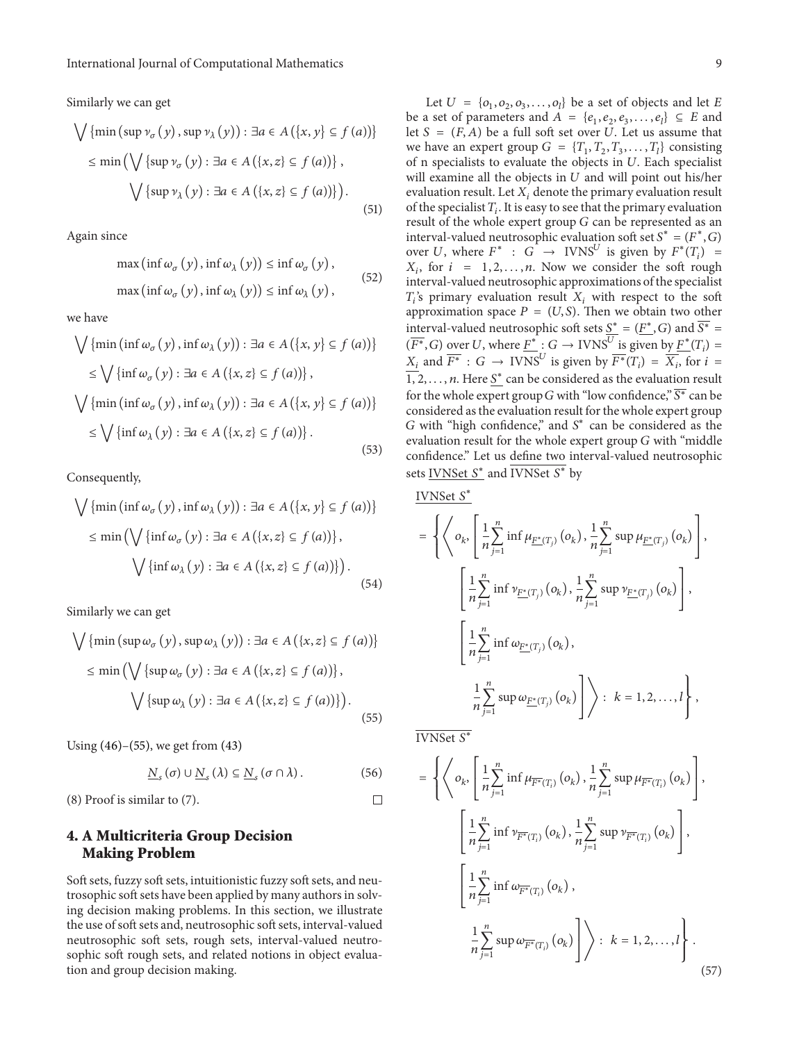Similarly we can get

$$
\bigvee \{\min (\sup \nu_{\sigma} (y), \sup \nu_{\lambda} (y)) : \exists a \in A (\{x, y\} \subseteq f (a)) \}
$$

$$
\leq \min \left( \bigvee \{\sup \nu_{\sigma} (y) : \exists a \in A (\{x, z\} \subseteq f (a)) \} \right),
$$

$$
\bigvee \{\sup \nu_{\lambda} (y) : \exists a \in A (\{x, z\} \subseteq f (a)) \} \right).
$$
(51)

Again since

$$
\max\left(\inf \omega_{\sigma}(y), \inf \omega_{\lambda}(y)\right) \le \inf \omega_{\sigma}(y),
$$
  

$$
\max\left(\inf \omega_{\sigma}(y), \inf \omega_{\lambda}(y)\right) \le \inf \omega_{\lambda}(y),
$$
 (52)

we have

$$
\bigvee \{\min (\inf \omega_{\sigma}(y), \inf \omega_{\lambda}(y)) : \exists a \in A (\{x, y\} \subseteq f(a)) \}
$$
  

$$
\leq \bigvee \{\inf \omega_{\sigma}(y) : \exists a \in A (\{x, z\} \subseteq f(a)) \},
$$
  

$$
\bigvee \{\min (\inf \omega_{\sigma}(y), \inf \omega_{\lambda}(y)) : \exists a \in A (\{x, y\} \subseteq f(a)) \}
$$
  

$$
\leq \bigvee \{\inf \omega_{\lambda}(y) : \exists a \in A (\{x, z\} \subseteq f(a)) \}.
$$
 (53)

Consequently,

$$
\bigvee \{\min (\inf \omega_{\sigma}(y), \inf \omega_{\lambda}(y)) : \exists a \in A (\{x, y\} \subseteq f(a)) \}
$$

$$
\leq \min \left( \bigvee \{\inf \omega_{\sigma}(y) : \exists a \in A (\{x, z\} \subseteq f(a)) \}, \bigvee \{\inf \omega_{\lambda}(y) : \exists a \in A (\{x, z\} \subseteq f(a)) \} \right).
$$
(54)

Similarly we can get

$$
\bigvee \{\min (\sup \omega_{\sigma} (y), \sup \omega_{\lambda} (y)) : \exists a \in A (\{x, z\} \subseteq f (a)) \}
$$
  

$$
\leq \min \left( \bigvee \{\sup \omega_{\sigma} (y) : \exists a \in A (\{x, z\} \subseteq f (a)) \}, \bigvee \{\sup \omega_{\lambda} (y) : \exists a \in A (\{x, z\} \subseteq f (a)) \} \right).
$$
 (55)

Using [\(46\)–](#page-7-0)[\(55\),](#page-8-1) we get from [\(43\)](#page-7-1)

$$
\underline{N}_s(\sigma) \cup \underline{N}_s(\lambda) \subseteq \underline{N}_s(\sigma \cap \lambda).
$$
 (56)

(8) Proof is similar to (7).

## <span id="page-8-0"></span>**4. A Multicriteria Group Decision Making Problem**

Soft sets, fuzzy soft sets, intuitionistic fuzzy soft sets, and neutrosophic soft sets have been applied by many authors in solving decision making problems. In this section, we illustrate the use of soft sets and, neutrosophic soft sets, interval-valued neutrosophic soft sets, rough sets, interval-valued neutrosophic soft rough sets, and related notions in object evaluation and group decision making.

Let  $U = \{o_1, o_2, o_3, \ldots, o_l\}$  be a set of objects and let E be a set of parameters and  $A = \{e_1, e_2, e_3, \ldots, e_l\} \subseteq E$  and let  $S = (F, A)$  be a full soft set over U. Let us assume that we have an expert group  $G = \{T_1, T_2, T_3, \dots, T_l\}$  consisting of n specialists to evaluate the objects in  $U$ . Each specialist will examine all the objects in  $U$  and will point out his/her evaluation result. Let  $X_i$  denote the primary evaluation result of the specialist  $T_i$ . It is easy to see that the primary evaluation result of the whole expert group  $G$  can be represented as an interval-valued neutrosophic evaluation soft set  $S^* = (F^*, G)$ over U, where  $F^*$  :  $G \rightarrow$  IVNS<sup>U</sup> is given by  $F^*(T_i) =$  $X_i$ , for  $i = 1, 2, ..., n$ . Now we consider the soft rough interval-valued neutrosophic approximations of the specialist  $T_i$ 's primary evaluation result  $X_i$  with respect to the soft approximation space  $P = (U, S)$ . Then we obtain two other interval-valued neutrosophic soft sets  $S^* = (F^*, G)$  and  $\overline{S^*} =$  $(\overline{F^*}, G)$  over U, where  $\underline{F^*}$  :  $G \to \text{IVNS}^U$  is given by  $\underline{F^*}(T_i) =$  $X_i$  and  $\overline{F^*}: G \to \text{IVNS}^U$  is given by  $\overline{F^*}(T_i) = \overline{X_i}$ , for  $i =$ 1, 2, ..., *n*. Here  $S^*$  can be considered as the evaluation result for the whole expert group G with "low confidence,"  $\overline{S^*}$  can be considered as the evaluation result for the whole expert group G with "high confidence," and  $S^*$  can be considered as the evaluation result for the whole expert group  $G$  with "middle confidence." Let us define two interval-valued neutrosophic sets IVNSet  $S^*$  and IVNSet  $S^*$  by

$$
\underline{\text{IVNSet }S^*}
$$

$$
= \left\{ \left\langle o_k, \left[ \frac{1}{n} \sum_{j=1}^n \inf \mu_{\underline{F^*}(T_j)}(o_k), \frac{1}{n} \sum_{j=1}^n \sup \mu_{\underline{F^*}(T_j)}(o_k) \right], \right\}\left[ \frac{1}{n} \sum_{j=1}^n \inf \nu_{\underline{F^*}(T_j)}(o_k), \frac{1}{n} \sum_{j=1}^n \sup \nu_{\underline{F^*}(T_j)}(o_k) \right], \right] \left[ \frac{1}{n} \sum_{j=1}^n \inf \omega_{\underline{F^*}(T_j)}(o_k), \right] \right\} \left[ \frac{1}{n} \sum_{j=1}^n \sup \omega_{\underline{F^*}(T_j)}(o_k) \right] \right\} : k = 1, 2, ..., l \right\},
$$

<span id="page-8-1"></span> $\overline{\text{IVNSet }S^*}$ 

 $\Box$ 

$$
= \left\{ \left\langle o_k, \left[ \frac{1}{n} \sum_{j=1}^n \inf \mu_{\overline{F^*}(T_i)}(o_k), \frac{1}{n} \sum_{j=1}^n \sup \mu_{\overline{F^*}(T_i)}(o_k) \right], \left[ \frac{1}{n} \sum_{j=1}^n \inf \nu_{\overline{F^*}(T_i)}(o_k), \frac{1}{n} \sum_{j=1}^n \sup \nu_{\overline{F^*}(T_i)}(o_k) \right], \left[ \frac{1}{n} \sum_{j=1}^n \inf \omega_{\overline{F^*}(T_i)}(o_k), \left[ \frac{1}{n} \sum_{j=1}^n \sup \omega_{\overline{F^*}(T_i)}(o_k) \right] \right\} : k = 1, 2, ..., l \right\}.
$$
\n(57)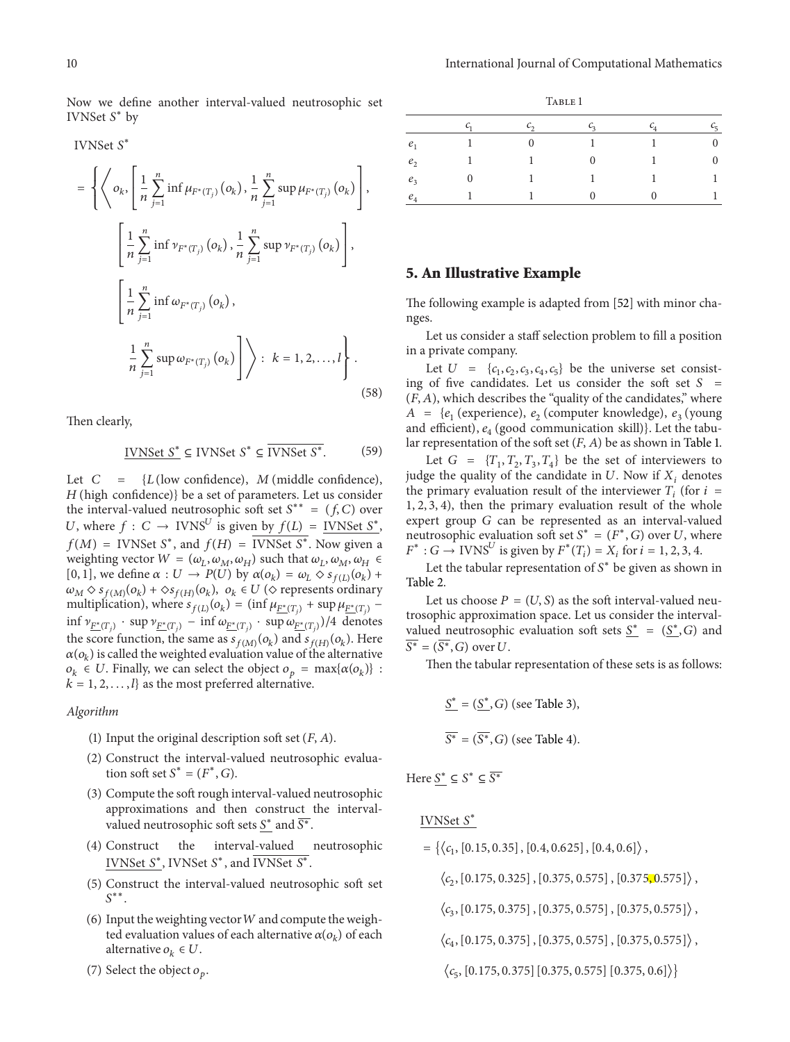Now we define another interval-valued neutrosophic set IVNSet S<sup>\*</sup> by

IVNSet S<sup>\*</sup>

$$
= \left\{ \left\langle o_k, \left[ \frac{1}{n} \sum_{j=1}^n \inf \mu_{F^*(T_j)}(o_k), \frac{1}{n} \sum_{j=1}^n \sup \mu_{F^*(T_j)}(o_k) \right], \left[ \frac{1}{n} \sum_{j=1}^n \inf \nu_{F^*(T_j)}(o_k), \frac{1}{n} \sum_{j=1}^n \sup \nu_{F^*(T_j)}(o_k) \right], \left[ \frac{1}{n} \sum_{j=1}^n \inf \omega_{F^*(T_j)}(o_k), \left[ \frac{1}{n} \sum_{j=1}^n \sup \omega_{F^*(T_j)}(o_k) \right] \right\} : k = 1, 2, ..., l \right\}.
$$
\n(58)

Then clearly,

IVNSet 
$$
S^*
$$
  $\subseteq$  IVNSet  $S^*$   $\subseteq$  IVNSet  $S^*$ . (59)

Let  $C = \{L$  (low confidence),  $M$  (middle confidence),  $H$ (high confidence)} be a set of parameters. Let us consider the interval-valued neutrosophic soft set  $S^{**} = (f, C)$  over U, where  $f: C \to \text{IVNS}^U$  is given by  $f(L) = \text{IVNSet } \mathcal{S}^*$ ,  $f(M)$  = IVNSet S<sup>\*</sup>, and  $f(H)$  = IVNSet S<sup>\*</sup>. Now given a weighting vector  $W = (\omega_L, \omega_M, \omega_H)$  such that  $\omega_L, \omega_M, \omega_H$ [0, 1], we define  $\alpha : U \to P(U)$  by  $\alpha(o_k) = \omega_L \diamond s_{f(L)}(o_k) +$  $\omega_M \diamond s_{f(M)}(o_k) + \diamond s_{f(H)}(o_k)$ ,  $o_k \in U \diamond$  represents ordinary multiplication), where  $s_{f(L)}(o_k) = (\inf \mu_{\underline{F^*(T_i)}} + \sup \mu_{\underline{F^*(T_i)}} \inf \nu_{F^*(T_i)} \cdot \sup \nu_{F^*(T_i)} - \inf \omega_{F^*(T_i)} \cdot \sup \omega_{F^*(T_i)})/4$  denotes the score function, the same as  $s_{f(M)}(o_k)$  and  $s_{f(H)}(o_k)$ . Here  $\alpha(o_k)$  is called the weighted evaluation value of the alternative  $o_k \in U$ . Finally, we can select the object  $o_p = \max\{\alpha(o_k)\}$ :  $k = 1, 2, \ldots, l$  as the most preferred alternative.

#### *Algorithm*

- (1) Input the original description soft set  $(F, A)$ .
- (2) Construct the interval-valued neutrosophic evaluation soft set  $S^* = (F^*, G)$ .
- (3) Compute the soft rough interval-valued neutrosophic approximations and then construct the intervalvalued neutrosophic soft sets  $S^*$  and  $\overline{S^*}$ .
- (4) Construct the interval-valued neutrosophic IVNSet  $S^*$ , IVNSet  $S^*$ , and IVNSet  $S^*$ .
- (5) Construct the interval-valued neutrosophic soft set  $S^{**}$ .
- (6) Input the weighting vector  $W$  and compute the weighted evaluation values of each alternative  $\alpha(o_k)$  of each alternative  $o_k \in U$ .
- (7) Select the object  $o_p$ .

|                    | $c_{1}$      | $\mathcal{C}_{2}$ | $\mathcal{C}_3$ | $c_4$ | $c_{5}$        |
|--------------------|--------------|-------------------|-----------------|-------|----------------|
| e <sub>1</sub>     |              | $\Omega$          |                 |       | $\overline{0}$ |
| e <sub>2</sub>     |              |                   | $\Omega$        |       | $\overline{0}$ |
| $e_3$              | $\mathbf{0}$ |                   |                 |       | 1              |
| $\boldsymbol{e}_4$ |              |                   |                 |       |                |

#### <span id="page-9-0"></span>**5. An Illustrative Example**

The following example is adapted from [\[52](#page-12-11)] with minor changes.

Let us consider a staff selection problem to fill a position in a private company.

Let  $U = \{c_1, c_2, c_3, c_4, c_5\}$  be the universe set consisting of five candidates. Let us consider the soft set  $S =$  $(F, A)$ , which describes the "quality of the candidates," where  $A = \{e_1$  (experience),  $e_2$  (computer knowledge),  $e_3$  (young and efficient),  $e_4$  (good communication skill)}. Let the tabular representation of the soft set  $(F, A)$  be as shown in Table 1.

Let  $G = \{T_1, T_2, T_3, T_4\}$  be the set of interviewers to judge the quality of the candidate in  $U$ . Now if  $X_i$ , denotes the primary evaluation result of the interviewer  $T_i$  (for  $i =$ 1, 2, 3, 4), then the primary evaluation result of the whole expert group  $G$  can be represented as an interval-valued neutrosophic evaluation soft set  $S^* = (F^*, G)$  over U, where  $F^*$ :  $G \to \text{IVNS}^U$  is given by  $F^*(T_i) = X_i$  for  $i = 1, 2, 3, 4$ .

Let the tabular representation of  $S^*$  be given as shown in Table 2.

Let us choose  $P = (U, S)$  as the soft interval-valued neutrosophic approximation space. Let us consider the intervalvalued neutrosophic evaluation soft sets  $S^* = (S^*, G)$  and  $\overline{S^*} = (\overline{S^*}, G)$  over U.

Then the tabular representation of these sets is as follows:

$$
\underline{S^*} = (\underline{S^*}, G) \text{ (see Table 3)},
$$
  

$$
\overline{S^*} = (\overline{S^*}, G) \text{ (see Table 4)}.
$$

Here  $S^* \subseteq S^* \subseteq \overline{S^*}$ 

# IVNSet S<sup>\*</sup>

 $=\{ \langle c_1,[0.15, 0.35],[0.4, 0.625],[0.4, 0.6]\rangle$ ,

 $\langle c_2,[0.175, 0.325]$ , [0.375, 0.575], [0.375, 0.575] $\rangle$ ,

 $\langle c_3,[0.175, 0.375]$ , [0.375, 0.575], [0.375, 0.575] $\rangle$ ,

 $\langle c_4,[0.175, 0.375]$ , [0.375, 0.575], [0.375, 0.575] $\rangle$ ,

 $\langle c_5, [0.175, 0.375] [0.375, 0.575] [0.375, 0.6] \rangle$ 

TABLE 1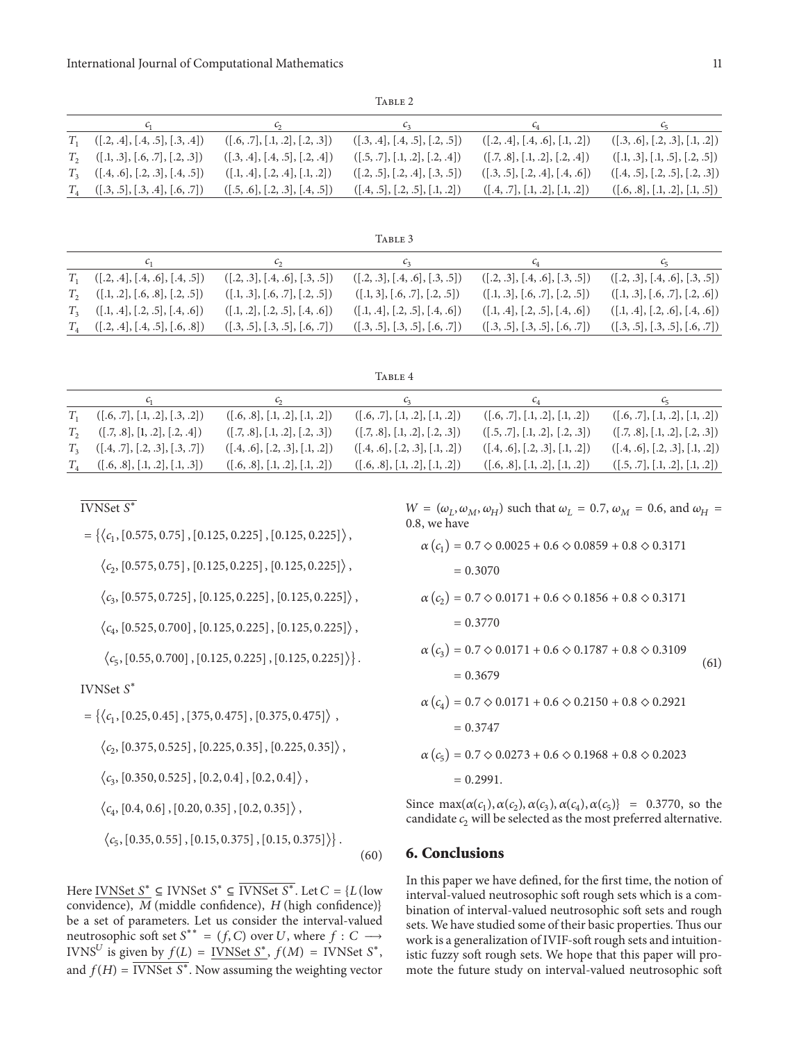TABLE 2

|                                        | $\sim$                            | $\mathcal{C}_2$                      | $c_4$                                | $c_{5}$                              |
|----------------------------------------|-----------------------------------|--------------------------------------|--------------------------------------|--------------------------------------|
| $T_1$ ([.2, .4], [.4, .5], [.3, .4])   | ([0.6, .7], [0.1, .2], [0.2, .3]) | ([0.3, 0.4], [0.4, 0.5], [0.2, 0.5]) | ([0.2, 0.4], [0.4, 0.6], [0.1, 0.2]) | ([0.3, 0.6], [0.2, 0.3], [0.1, 0.2]) |
| $T_2$ ([.1, .3], [.6, .7], [.2, .3])   | ([.3, .4], [.4, .5], [.2, .4])    | ([.5, .7], [.1, .2], [.2, .4])       | ([.7, .8], [.1, .2], [.2, .4])       | ([.1, .3], [.1, .5], [.2, .5])       |
| $T_3$ ([.4, .6], [.2, .3], [.4, .5])   | ([.1, .4], [.2, .4], [.1, .2])    | ([0.2, 0.5], [0.2, 0.4], [0.3, 0.5]) | ([0.3, 0.5], [0.2, 0.4], [0.4, 0.6]) | ([0.4, 0.5], [0.2, 0.5], [0.2, 0.3]) |
| $T_4$ $([.3, .5], [.3, .4], [.6, .7])$ | ([.5, .6], [.2, .3], [.4, .5])    | ([0.4, 0.5], [0.2, 0.5], [0.1, 0.2]) | ([0.4, 0.7], [0.1, 0.2], [0.1, 0.2]) | ([.6, .8], [.1, .2], [.1, .5])       |

| TABLE 3                                |                                      |                                      |                                      |                                      |
|----------------------------------------|--------------------------------------|--------------------------------------|--------------------------------------|--------------------------------------|
| $c_{1}$                                | $\epsilon$                           | $\mathcal{C}_3$                      | $c_4$                                | $c_{5}$                              |
| $T_1$ ([.2, .4], [.4, .6], [.4, .5])   | ([0.2, 0.3], [0.4, 0.6], [0.3, 0.5]) | ([0.2, 0.3], [0.4, 0.6], [0.3, 0.5]) | ([0.2, 0.3], [0.4, 0.6], [0.3, 0.5]) | ([0.2, 0.3], [0.4, 0.6], [0.3, 0.5]) |
| $T_2$ $([.1, .2], [.6, .8], [.2, .5])$ | ([.1, .3], [.6, .7], [.2, .5])       | ([.1, 3], [.6, .7], [.2, .5])        | ([.1, .3], [.6, .7], [.2, .5])       | ([.1, .3], [.6, .7], [.2, .6])       |
| $T_3$ ([.1, .4], [.2, .5], [.4, .6])   | ([.1, .2], [.2, .5], [.4, .6])       | ([.1, .4], [.2, .5], [.4, .6])       | ([.1, .4], [.2, .5], [.4, .6])       | ([.1, .4], [.2, .6], [.4, .6])       |
| $T_4$ ([.2, .4], [.4, .5], [.6, .8])   | ([0.3, 0.5], [0.3, 0.5], [0.6, 0.7]) | ([0.3, 0.5], [0.3, 0.5], [0.6, 0.7]) | ([0.3, 0.5], [0.3, 0.5], [0.6, 0.7]) | ([0.3, 0.5], [0.3, 0.5], [0.6, 0.7]) |

| TABLE 4                                |                                      |                                      |                                      |                                   |
|----------------------------------------|--------------------------------------|--------------------------------------|--------------------------------------|-----------------------------------|
|                                        | $\mathcal{C}_{2}$                    | $c_{3}$                              | $C_4$                                | $c_5$                             |
| $T_1$ $([.6, .7], [.1, .2], [.3, .2])$ | ([0.6, 0.8], [0.1, 0.2], [0.1, 0.2]) | ([0.6, .7], [0.1, .2], [0.1, .2])    | ([0.6, .7], [0.1, .2], [0.1, .2])    | ([0.6, .7], [0.1, .2], [0.1, .2]) |
| $T_2$ ([.7, .8], [1, .2], [.2, .4])    | ([.7, .8], [.1, .2], [.2, .3])       | ([.7, .8], [.1, .2], [.2, .3])       | ([.5, .7], [.1, .2], [.2, .3])       | ([.7, .8], [.1, .2], [.2, .3])    |
| $T_3$ ([.4, .7], [.2, .3], [.3, .7])   | ([.4, .6], [.2, .3], [.1, .2])       | ([0.4, 0.6], [0.2, 0.3], [0.1, 0.2]) | ([0.4, 0.6], [0.2, 0.3], [0.1, 0.2]) | ([.4, .6], [.2, .3], [.1, .2])    |
| $T_4$ ([.6, .8], [.1, .2], [.1, .3])   | ([0.6, 0.8], [0.1, 0.2], [0.1, 0.2]) | ([0.6, 0.8], [0.1, 0.2], [0.1, 0.2]) | ([.6, .8], [.1, .2], [.1, .2])       | ([.5, .7], [.1, .2], [.1, .2])    |

 $\overline{\text{IVNSet }S^*}$ 

 $=\{\langle c_1,[0.575, 0.75],[0.125, 0.225],[0.125, 0.225]\rangle,$ 

 $\langle c_2,[0.575, 0.75], [0.125, 0.225], [0.125, 0.225] \rangle$ ,

 $\langle c_3,[0.575, 0.725], [0.125, 0.225], [0.125, 0.225] \rangle$ ,

 $\langle c_4,[0.525, 0.700], [0.125, 0.225], [0.125, 0.225] \rangle$ ,

 $\langle c_5,[0.55, 0.700], [0.125, 0.225], [0.125, 0.225] \rangle$ .

IVNSet S<sup>\*</sup>

 $=\{ \langle c_1,[0.25, 0.45], [375, 0.475], [0.375, 0.475] \rangle \},$ 

 $\langle c_2,[0.375, 0.525], [0.225, 0.35], [0.225, 0.35] \rangle$ ,

 $\langle c_3,[0.350, 0.525], [0.2, 0.4], [0.2, 0.4] \rangle$ ,

 $\langle c_4,[0.4, 0.6],[0.20, 0.35],[0.2, 0.35]\rangle$ ,

 $\langle c_5,[0.35, 0.55], [0.15, 0.375], [0.15, 0.375]\rangle$ .

(60)

Here IVNSet  $S^*$  ⊆ IVNSet  $S^*$  ⊆ IVNSet  $S^*$ . Let  $C = \{L$  (low convidence),  $M$  (middle confidence),  $H$  (high confidence)} be a set of parameters. Let us consider the interval-valued neutrosophic soft set  $S^{**} = (f, C)$  over U, where  $f : C \longrightarrow$ IVNS<sup>U</sup> is given by  $f(L) = \text{INNSet } S^*$ ,  $f(M) = \text{INNSet } S^*$ , and  $f(H) = \overline{\text{IVNSet } S^*}.$  Now assuming the weighting vector

 $W = (\omega_L, \omega_M, \omega_H)$  such that  $\omega_L = 0.7$ ,  $\omega_M = 0.6$ , and  $\omega_H =$ 0.8, we have

$$
\alpha (c_1) = 0.7 \diamond 0.0025 + 0.6 \diamond 0.0859 + 0.8 \diamond 0.3171
$$
  
= 0.3070  

$$
\alpha (c_2) = 0.7 \diamond 0.0171 + 0.6 \diamond 0.1856 + 0.8 \diamond 0.3171
$$
  
= 0.3770  

$$
\alpha (c_3) = 0.7 \diamond 0.0171 + 0.6 \diamond 0.1787 + 0.8 \diamond 0.3109
$$
  
= 0.3679  

$$
\alpha (c_4) = 0.7 \diamond 0.0171 + 0.6 \diamond 0.2150 + 0.8 \diamond 0.2921
$$
  
= 0.3747  

$$
\alpha (c_5) = 0.7 \diamond 0.0273 + 0.6 \diamond 0.1968 + 0.8 \diamond 0.2023
$$
  
= 0.2991.

Since max $(\alpha(c_1), \alpha(c_2), \alpha(c_3), \alpha(c_4), \alpha(c_5)) = 0.3770$ , so the candidate  $c_2$  will be selected as the most preferred alternative.

#### **6. Conclusions**

In this paper we have defined, for the first time, the notion of interval-valued neutrosophic soft rough sets which is a combination of interval-valued neutrosophic soft sets and rough sets. We have studied some of their basic properties. Thus our work is a generalization of IVIF-soft rough sets and intuitionistic fuzzy soft rough sets. We hope that this paper will promote the future study on interval-valued neutrosophic soft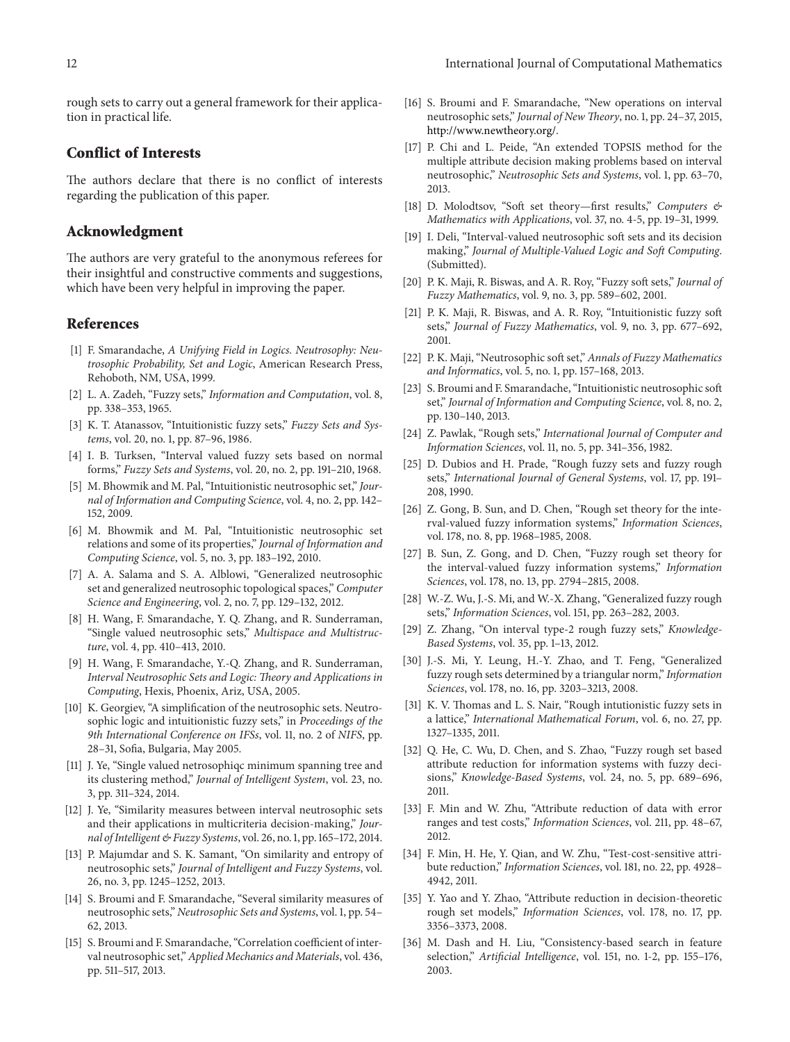rough sets to carry out a general framework for their application in practical life.

#### **Conflict of Interests**

The authors declare that there is no conflict of interests regarding the publication of this paper.

#### **Acknowledgment**

The authors are very grateful to the anonymous referees for their insightful and constructive comments and suggestions, which have been very helpful in improving the paper.

#### **References**

- <span id="page-11-0"></span>[1] F. Smarandache, *A Unifying Field in Logics. Neutrosophy: Neutrosophic Probability, Set and Logic*, American Research Press, Rehoboth, NM, USA, 1999.
- <span id="page-11-1"></span>[2] L. A. Zadeh, "Fuzzy sets," *Information and Computation*, vol. 8, pp. 338–353, 1965.
- <span id="page-11-2"></span>[3] K. T. Atanassov, "Intuitionistic fuzzy sets," *Fuzzy Sets and Systems*, vol. 20, no. 1, pp. 87–96, 1986.
- <span id="page-11-3"></span>[4] I. B. Turksen, "Interval valued fuzzy sets based on normal forms," *Fuzzy Sets and Systems*, vol. 20, no. 2, pp. 191–210, 1968.
- <span id="page-11-4"></span>[5] M. Bhowmik and M. Pal, "Intuitionistic neutrosophic set," *Journal of Information and Computing Science*, vol. 4, no. 2, pp. 142– 152, 2009.
- <span id="page-11-5"></span>[6] M. Bhowmik and M. Pal, "Intuitionistic neutrosophic set relations and some of its properties," *Journal of Information and Computing Science*, vol. 5, no. 3, pp. 183–192, 2010.
- <span id="page-11-6"></span>[7] A. A. Salama and S. A. Alblowi, "Generalized neutrosophic set and generalized neutrosophic topological spaces," *Computer Science and Engineering*, vol. 2, no. 7, pp. 129–132, 2012.
- <span id="page-11-7"></span>[8] H. Wang, F. Smarandache, Y. Q. Zhang, and R. Sunderraman, "Single valued neutrosophic sets," *Multispace and Multistructure*, vol. 4, pp. 410–413, 2010.
- <span id="page-11-8"></span>[9] H. Wang, F. Smarandache, Y.-Q. Zhang, and R. Sunderraman, *Interval Neutrosophic Sets and Logic: Theory and Applications in Computing*, Hexis, Phoenix, Ariz, USA, 2005.
- <span id="page-11-9"></span>[10] K. Georgiev, "A simplification of the neutrosophic sets. Neutrosophic logic and intuitionistic fuzzy sets," in *Proceedings of the 9th International Conference on IFSs*, vol. 11, no. 2 of *NIFS*, pp. 28–31, Sofia, Bulgaria, May 2005.
- <span id="page-11-10"></span>[11] J. Ye, "Single valued netrosophiqc minimum spanning tree and its clustering method," *Journal of Intelligent System*, vol. 23, no. 3, pp. 311–324, 2014.
- <span id="page-11-11"></span>[12] J. Ye, "Similarity measures between interval neutrosophic sets and their applications in multicriteria decision-making," *Journal of Intelligent & Fuzzy Systems*, vol. 26, no. 1, pp. 165–172, 2014.
- <span id="page-11-12"></span>[13] P. Majumdar and S. K. Samant, "On similarity and entropy of neutrosophic sets," *Journal of Intelligent and Fuzzy Systems*, vol. 26, no. 3, pp. 1245–1252, 2013.
- <span id="page-11-13"></span>[14] S. Broumi and F. Smarandache, "Several similarity measures of neutrosophic sets," *Neutrosophic Sets and Systems*, vol. 1, pp. 54– 62, 2013.
- [15] S. Broumi and F. Smarandache, "Correlation coefficient of interval neutrosophic set,"*Applied Mechanics and Materials*, vol. 436, pp. 511–517, 2013.
- <span id="page-11-14"></span>[16] S. Broumi and F. Smarandache, "New operations on interval neutrosophic sets," *Journal of New Theory*, no. 1, pp. 24–37, 2015, [http://www.newtheory.org/.](http://www.newtheory.org/)
- <span id="page-11-15"></span>[17] P. Chi and L. Peide, "An extended TOPSIS method for the multiple attribute decision making problems based on interval neutrosophic," *Neutrosophic Sets and Systems*, vol. 1, pp. 63–70, 2013.
- <span id="page-11-16"></span>[18] D. Molodtsov, "Soft set theory—first results," *Computers & Mathematics with Applications*, vol. 37, no. 4-5, pp. 19–31, 1999.
- <span id="page-11-17"></span>[19] I. Deli, "Interval-valued neutrosophic soft sets and its decision making," *Journal of Multiple-Valued Logic and Soft Computing*. (Submitted).
- <span id="page-11-18"></span>[20] P. K. Maji, R. Biswas, and A. R. Roy, "Fuzzy soft sets," *Journal of Fuzzy Mathematics*, vol. 9, no. 3, pp. 589–602, 2001.
- <span id="page-11-19"></span>[21] P. K. Maji, R. Biswas, and A. R. Roy, "Intuitionistic fuzzy soft sets," *Journal of Fuzzy Mathematics*, vol. 9, no. 3, pp. 677–692, 2001.
- <span id="page-11-20"></span>[22] P. K. Maji, "Neutrosophic soft set," *Annals of Fuzzy Mathematics and Informatics*, vol. 5, no. 1, pp. 157–168, 2013.
- <span id="page-11-21"></span>[23] S. Broumi and F. Smarandache, "Intuitionistic neutrosophic soft set," *Journal of Information and Computing Science*, vol. 8, no. 2, pp. 130–140, 2013.
- <span id="page-11-22"></span>[24] Z. Pawlak, "Rough sets," *International Journal of Computer and Information Sciences*, vol. 11, no. 5, pp. 341–356, 1982.
- <span id="page-11-23"></span>[25] D. Dubios and H. Prade, "Rough fuzzy sets and fuzzy rough sets," *International Journal of General Systems*, vol. 17, pp. 191– 208, 1990.
- [26] Z. Gong, B. Sun, and D. Chen, "Rough set theory for the interval-valued fuzzy information systems," *Information Sciences*, vol. 178, no. 8, pp. 1968–1985, 2008.
- [27] B. Sun, Z. Gong, and D. Chen, "Fuzzy rough set theory for the interval-valued fuzzy information systems," *Information Sciences*, vol. 178, no. 13, pp. 2794–2815, 2008.
- [28] W.-Z. Wu, J.-S. Mi, and W.-X. Zhang, "Generalized fuzzy rough sets," *Information Sciences*, vol. 151, pp. 263–282, 2003.
- [29] Z. Zhang, "On interval type-2 rough fuzzy sets," *Knowledge-Based Systems*, vol. 35, pp. 1–13, 2012.
- <span id="page-11-24"></span>[30] J.-S. Mi, Y. Leung, H.-Y. Zhao, and T. Feng, "Generalized fuzzy rough sets determined by a triangular norm," *Information Sciences*, vol. 178, no. 16, pp. 3203–3213, 2008.
- <span id="page-11-25"></span>[31] K. V. Thomas and L. S. Nair, "Rough intutionistic fuzzy sets in a lattice," *International Mathematical Forum*, vol. 6, no. 27, pp. 1327–1335, 2011.
- <span id="page-11-26"></span>[32] Q. He, C. Wu, D. Chen, and S. Zhao, "Fuzzy rough set based attribute reduction for information systems with fuzzy decisions," *Knowledge-Based Systems*, vol. 24, no. 5, pp. 689–696, 2011.
- [33] F. Min and W. Zhu, "Attribute reduction of data with error ranges and test costs," *Information Sciences*, vol. 211, pp. 48–67, 2012.
- [34] F. Min, H. He, Y. Qian, and W. Zhu, "Test-cost-sensitive attribute reduction," *Information Sciences*, vol. 181, no. 22, pp. 4928– 4942, 2011.
- <span id="page-11-27"></span>[35] Y. Yao and Y. Zhao, "Attribute reduction in decision-theoretic rough set models," *Information Sciences*, vol. 178, no. 17, pp. 3356–3373, 2008.
- <span id="page-11-28"></span>[36] M. Dash and H. Liu, "Consistency-based search in feature selection," *Artificial Intelligence*, vol. 151, no. 1-2, pp. 155–176, 2003.